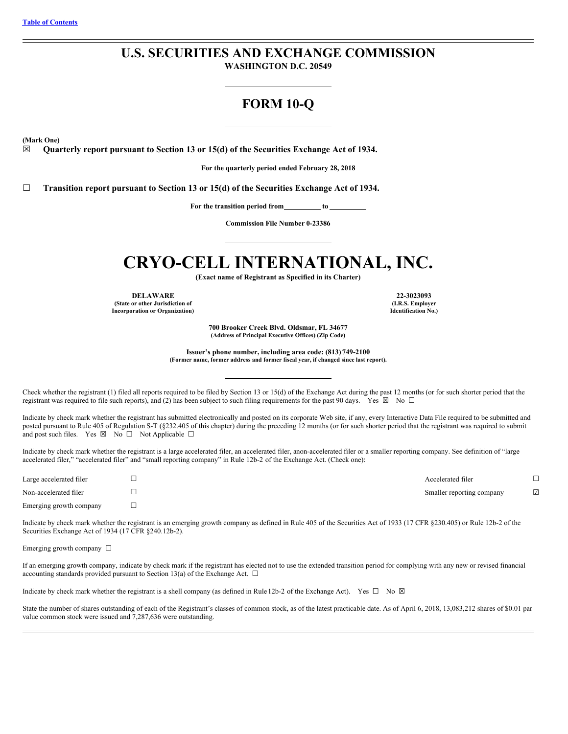# <span id="page-0-0"></span>**U.S. SECURITIES AND EXCHANGE COMMISSION**

**WASHINGTON D.C. 20549**

# **FORM 10-Q**

**(Mark One)**

☒ **Quarterly report pursuant to Section 13 or 15(d) of the Securities Exchange Act of 1934.**

**For the quarterly period ended February 28, 2018**

☐ **Transition report pursuant to Section 13 or 15(d) of the Securities Exchange Act of 1934.**

**For the transition period from to**

**Commission File Number 0-23386**

# **CRYO-CELL INTERNATIONAL, INC.**

**(Exact name of Registrant as Specified in its Charter)**

**DELAWARE 22-3023093 (State or other Jurisdiction of Incorporation or Organization)**

**(I.R.S. Employer Identification No.)**

**700 Brooker Creek Blvd. Oldsmar, FL 34677 (Address of Principal Executive Offices) (Zip Code)**

**Issuer's phone number, including area code: (813) 749-2100 (Former name, former address and former fiscal year, if changed since last report).**

Check whether the registrant (1) filed all reports required to be filed by Section 13 or 15(d) of the Exchange Act during the past 12 months (or for such shorter period that the registrant was required to file such reports), and (2) has been subject to such filing requirements for the past 90 days. Yes  $\boxtimes$  No  $\Box$ 

Indicate by check mark whether the registrant has submitted electronically and posted on its corporate Web site, if any, every Interactive Data File required to be submitted and posted pursuant to Rule 405 of Regulation S-T (§232.405 of this chapter) during the preceding 12 months (or for such shorter period that the registrant was required to submit and post such files. Yes  $\boxtimes$  No  $\Box$  Not Applicable  $\Box$ 

Indicate by check mark whether the registrant is a large accelerated filer, an accelerated filer, anon-accelerated filer or a smaller reporting company. See definition of "large accelerated filer," "accelerated filer" and "small reporting company" in Rule 12b-2 of the Exchange Act. (Check one):

| Large accelerated filer | Accelerated filer         |            |
|-------------------------|---------------------------|------------|
| Non-accelerated filer   | Smaller reporting company | $\sqrt{ }$ |
| Emerging growth company |                           |            |

Indicate by check mark whether the registrant is an emerging growth company as defined in Rule 405 of the Securities Act of 1933 (17 CFR §230.405) or Rule 12b-2 of the Securities Exchange Act of 1934 (17 CFR §240.12b-2).

Emerging growth company  $\Box$ 

If an emerging growth company, indicate by check mark if the registrant has elected not to use the extended transition period for complying with any new or revised financial accounting standards provided pursuant to Section 13(a) of the Exchange Act.  $\Box$ 

Indicate by check mark whether the registrant is a shell company (as defined in Rule 12b-2 of the Exchange Act). Yes  $\Box$  No  $\boxtimes$ 

State the number of shares outstanding of each of the Registrant's classes of common stock, as of the latest practicable date. As of April 6, 2018, 13,083,212 shares of \$0.01 par value common stock were issued and 7,287,636 were outstanding.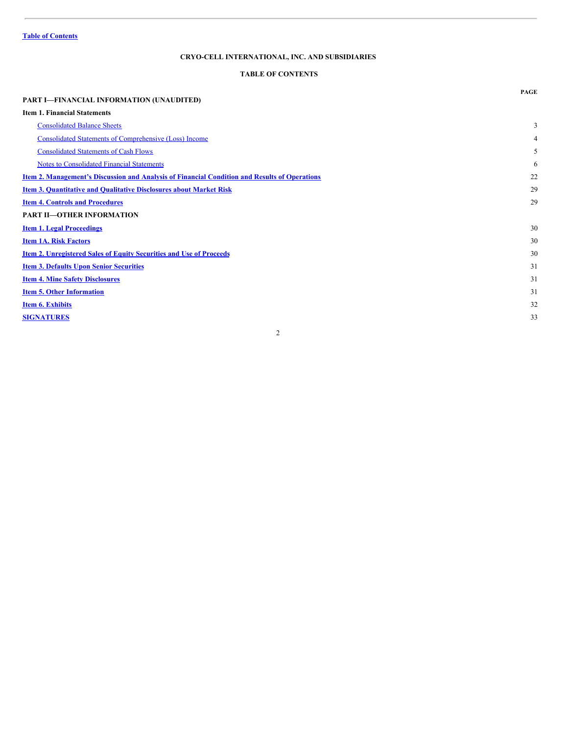# <span id="page-1-0"></span>**TABLE OF CONTENTS**

| <b>PART I-FINANCIAL INFORMATION (UNAUDITED)</b>                                                      | PAGE |
|------------------------------------------------------------------------------------------------------|------|
| <b>Item 1. Financial Statements</b>                                                                  |      |
| <b>Consolidated Balance Sheets</b>                                                                   | 3    |
| <b>Consolidated Statements of Comprehensive (Loss) Income</b>                                        | 4    |
| <b>Consolidated Statements of Cash Flows</b>                                                         | 5    |
| <b>Notes to Consolidated Financial Statements</b>                                                    | 6    |
| <b>Item 2. Management's Discussion and Analysis of Financial Condition and Results of Operations</b> | 22   |
| <b>Item 3. Quantitative and Qualitative Disclosures about Market Risk</b>                            | 29   |
| <b>Item 4. Controls and Procedures</b>                                                               | 29   |
| <b>PART II-OTHER INFORMATION</b>                                                                     |      |
| <b>Item 1. Legal Proceedings</b>                                                                     | 30   |
| <b>Item 1A. Risk Factors</b>                                                                         | 30   |
| <b>Item 2. Unregistered Sales of Equity Securities and Use of Proceeds</b>                           | 30   |
| <b>Item 3. Defaults Upon Senior Securities</b>                                                       | 31   |
| <b>Item 4. Mine Safety Disclosures</b>                                                               | 31   |
| <b>Item 5. Other Information</b>                                                                     | 31   |
| <b>Item 6. Exhibits</b>                                                                              | 32   |
| <b>SIGNATURES</b>                                                                                    | 33   |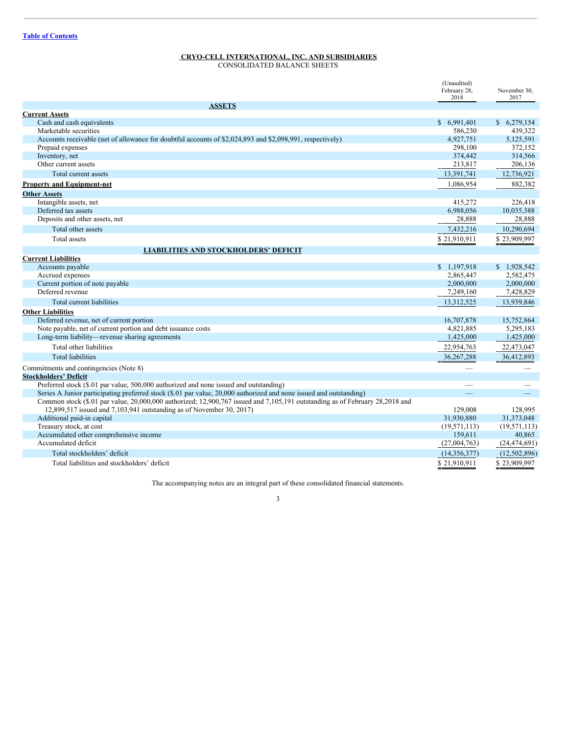<span id="page-2-0"></span>CONSOLIDATED BALANCE SHEETS

|                                                                                                                              | (Unaudited)<br>February 28,<br>2018 | November 30,<br>2017 |
|------------------------------------------------------------------------------------------------------------------------------|-------------------------------------|----------------------|
| <b>ASSETS</b>                                                                                                                |                                     |                      |
| <b>Current Assets</b>                                                                                                        |                                     |                      |
| Cash and cash equivalents                                                                                                    | \$6,991,401                         | \$6,279,154          |
| Marketable securities                                                                                                        | 586,230                             | 439,322              |
| Accounts receivable (net of allowance for doubtful accounts of \$2,024,893 and \$2,098,991, respectively)                    | 4,927,751                           | 5,125,591            |
| Prepaid expenses                                                                                                             | 298,100                             | 372.152              |
| Inventory, net<br>Other current assets                                                                                       | 374,442                             | 314,566              |
|                                                                                                                              | 213,817                             | 206,136              |
| Total current assets                                                                                                         | 13,391,741                          | 12,736,921           |
| <b>Property and Equipment-net</b>                                                                                            | 1,086,954                           | 882,382              |
| <b>Other Assets</b>                                                                                                          |                                     |                      |
| Intangible assets, net                                                                                                       | 415.272                             | 226.418              |
| Deferred tax assets                                                                                                          | 6,988,056                           | 10,035,388           |
| Deposits and other assets, net                                                                                               | 28,888                              | 28,888               |
| Total other assets                                                                                                           | 7,432,216                           | 10,290,694           |
| <b>Total assets</b>                                                                                                          | \$21,910,911                        | \$23,909,997         |
| <b>LIABILITIES AND STOCKHOLDERS' DEFICIT</b>                                                                                 |                                     |                      |
| <b>Current Liabilities</b>                                                                                                   |                                     |                      |
| Accounts payable                                                                                                             | \$1,197,918                         | \$1,928,542          |
| Accrued expenses                                                                                                             | 2,865,447                           | 2,582,475            |
| Current portion of note payable                                                                                              | 2,000,000                           | 2,000,000            |
| Deferred revenue                                                                                                             | 7,249,160                           | 7,428,829            |
| Total current liabilities                                                                                                    | 13,312,525                          | 13,939,846           |
| <b>Other Liabilities</b>                                                                                                     |                                     |                      |
| Deferred revenue, net of current portion                                                                                     | 16,707,878                          | 15,752,864           |
| Note payable, net of current portion and debt issuance costs                                                                 | 4,821,885                           | 5,295,183            |
| Long-term liability—revenue sharing agreements                                                                               | 1,425,000                           | 1,425,000            |
| Total other liabilities                                                                                                      | 22,954,763                          | 22,473,047           |
| <b>Total liabilities</b>                                                                                                     | 36,267,288                          | 36,412,893           |
| Commitments and contingencies (Note 8)                                                                                       |                                     |                      |
| <b>Stockholders' Deficit</b>                                                                                                 |                                     |                      |
| Preferred stock (\$.01 par value, 500,000 authorized and none issued and outstanding)                                        |                                     |                      |
| Series A Junior participating preferred stock (\$.01 par value, 20,000 authorized and none issued and outstanding)           |                                     |                      |
| Common stock (\$.01 par value, 20,000,000 authorized; 12,900,767 issued and 7,105,191 outstanding as of February 28,2018 and |                                     |                      |
| 12,899,517 issued and 7,103,941 outstanding as of November 30, 2017)                                                         | 129,008                             | 128,995              |
| Additional paid-in capital                                                                                                   | 31,930,880                          | 31,373,048           |
| Treasury stock, at cost                                                                                                      | (19, 571, 113)                      | (19, 571, 113)       |
| Accumulated other comprehensive income                                                                                       | 159,611                             | 40,865               |
| Accumulated deficit                                                                                                          | (27,004,763)                        | (24, 474, 691)       |
| Total stockholders' deficit                                                                                                  | (14, 356, 377)                      | (12,502,896)         |
| Total liabilities and stockholders' deficit                                                                                  | \$21,910,911                        | \$23,909,997         |

The accompanying notes are an integral part of these consolidated financial statements.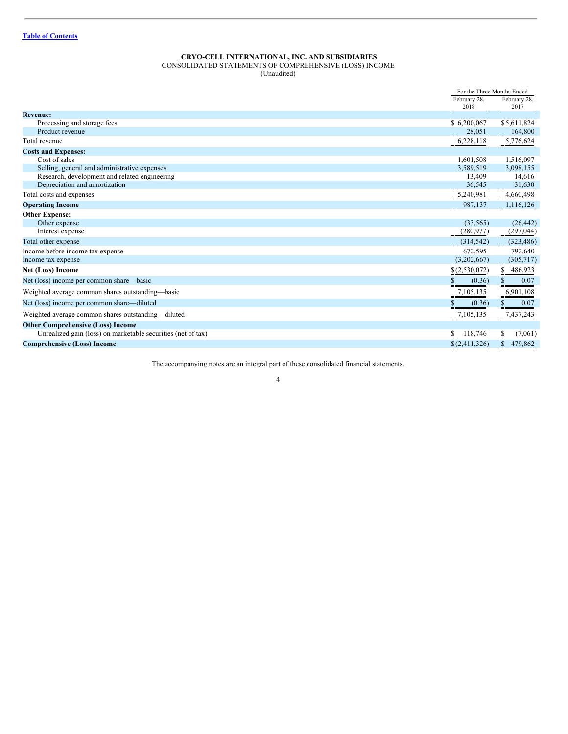<span id="page-3-0"></span>CONSOLIDATED STATEMENTS OF COMPREHENSIVE (LOSS) INCOME

(Unaudited)

|                                                              | For the Three Months Ended |               |
|--------------------------------------------------------------|----------------------------|---------------|
|                                                              | February 28,               | February 28,  |
|                                                              | 2018                       | 2017          |
| <b>Revenue:</b>                                              |                            |               |
| Processing and storage fees                                  | \$6,200,067                | \$5,611,824   |
| Product revenue                                              | 28,051                     | 164,800       |
| Total revenue                                                | 6,228,118                  | 5,776,624     |
| <b>Costs and Expenses:</b>                                   |                            |               |
| Cost of sales                                                | 1,601,508                  | 1,516,097     |
| Selling, general and administrative expenses                 | 3,589,519                  | 3,098,155     |
| Research, development and related engineering                | 13,409                     | 14,616        |
| Depreciation and amortization                                | 36,545                     | 31,630        |
| Total costs and expenses                                     | 5,240,981                  | 4,660,498     |
| <b>Operating Income</b>                                      | 987,137                    | 1,116,126     |
| <b>Other Expense:</b>                                        |                            |               |
| Other expense                                                | (33, 565)                  | (26, 442)     |
| Interest expense                                             | (280, 977)                 | (297, 044)    |
| Total other expense                                          | (314, 542)                 | (323, 486)    |
| Income before income tax expense                             | 672,595                    | 792,640       |
| Income tax expense                                           | (3,202,667)                | (305,717)     |
| <b>Net (Loss) Income</b>                                     | \$(2,530,072)              | \$<br>486,923 |
| Net (loss) income per common share—basic                     | (0.36)                     | 0.07          |
| Weighted average common shares outstanding—basic             | 7,105,135                  | 6,901,108     |
| Net (loss) income per common share—diluted                   | \$<br>(0.36)               | 0.07<br>\$    |
| Weighted average common shares outstanding—diluted           | 7,105,135                  | 7,437,243     |
| <b>Other Comprehensive (Loss) Income</b>                     |                            |               |
| Unrealized gain (loss) on marketable securities (net of tax) | 118,746<br>\$              | (7,061)       |
| <b>Comprehensive (Loss) Income</b>                           | \$(2,411,326)              | 479,862<br>\$ |

The accompanying notes are an integral part of these consolidated financial statements.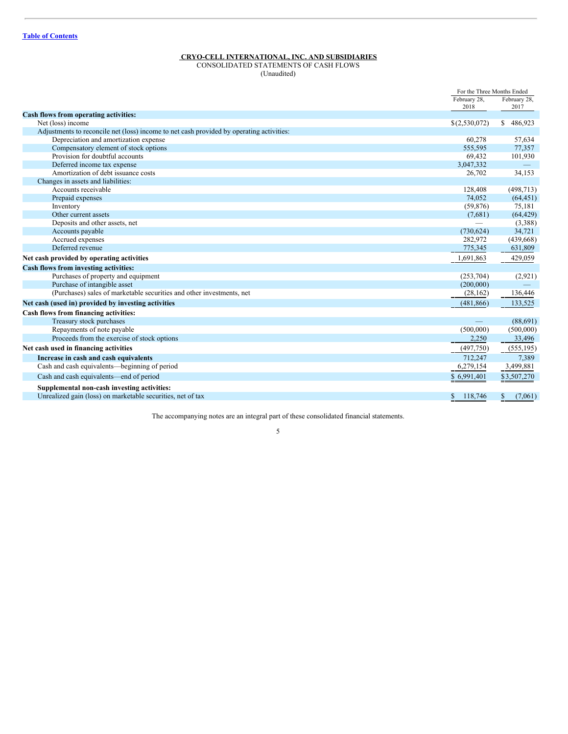#### <span id="page-4-0"></span>CONSOLIDATED STATEMENTS OF CASH FLOWS

(Unaudited)

|                                                                                          | For the Three Months Ended |               |
|------------------------------------------------------------------------------------------|----------------------------|---------------|
|                                                                                          | February 28,               | February 28,  |
|                                                                                          | 2018                       | 2017          |
| Cash flows from operating activities:                                                    |                            |               |
| Net (loss) income                                                                        | \$(2,530,072)              | \$<br>486,923 |
| Adjustments to reconcile net (loss) income to net cash provided by operating activities: |                            |               |
| Depreciation and amortization expense                                                    | 60,278                     | 57,634        |
| Compensatory element of stock options                                                    | 555,595                    | 77,357        |
| Provision for doubtful accounts                                                          | 69,432                     | 101,930       |
| Deferred income tax expense                                                              | 3,047,332                  |               |
| Amortization of debt issuance costs                                                      | 26,702                     | 34,153        |
| Changes in assets and liabilities:                                                       |                            |               |
| Accounts receivable                                                                      | 128,408                    | (498, 713)    |
| Prepaid expenses                                                                         | 74,052                     | (64, 451)     |
| Inventory                                                                                | (59, 876)                  | 75,181        |
| Other current assets                                                                     | (7,681)                    | (64, 429)     |
| Deposits and other assets, net                                                           |                            | (3,388)       |
| Accounts payable                                                                         | (730, 624)                 | 34,721        |
| Accrued expenses                                                                         | 282,972                    | (439, 668)    |
| Deferred revenue                                                                         | 775,345                    | 631,809       |
| Net cash provided by operating activities                                                | 1,691,863                  | 429,059       |
| Cash flows from investing activities:                                                    |                            |               |
| Purchases of property and equipment                                                      | (253,704)                  | (2,921)       |
| Purchase of intangible asset                                                             | (200,000)                  |               |
| (Purchases) sales of marketable securities and other investments, net                    | (28, 162)                  | 136,446       |
| Net cash (used in) provided by investing activities                                      | (481, 866)                 | 133,525       |
| Cash flows from financing activities:                                                    |                            |               |
| Treasury stock purchases                                                                 |                            | (88, 691)     |
| Repayments of note payable                                                               | (500,000)                  | (500,000)     |
| Proceeds from the exercise of stock options                                              | 2,250                      | 33,496        |
| Net cash used in financing activities                                                    | (497,750)                  | (555, 195)    |
| Increase in cash and cash equivalents                                                    | 712,247                    | 7,389         |
| Cash and cash equivalents—beginning of period                                            | 6,279,154                  | 3,499,881     |
| Cash and cash equivalents—end of period                                                  | \$6,991,401                | \$3,507,270   |
| Supplemental non-cash investing activities:                                              |                            |               |
| Unrealized gain (loss) on marketable securities, net of tax                              | \$<br>118,746              | \$<br>(7,061) |

The accompanying notes are an integral part of these consolidated financial statements.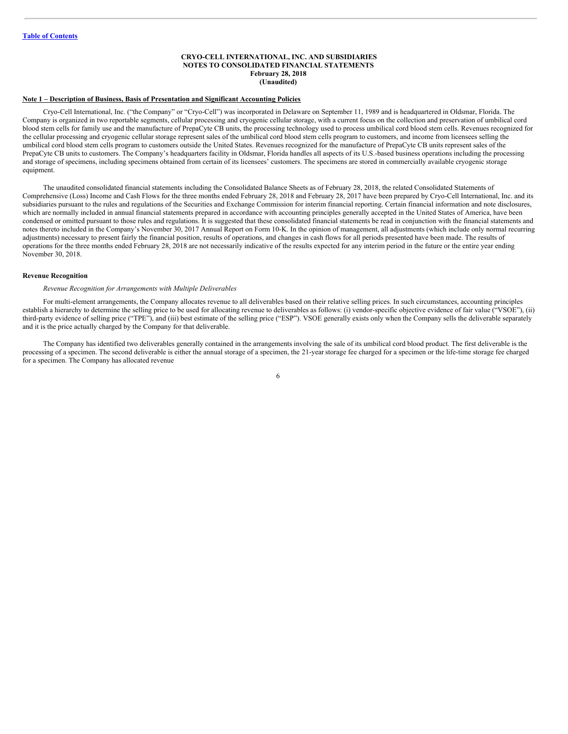#### <span id="page-5-0"></span>**CRYO-CELL INTERNATIONAL, INC. AND SUBSIDIARIES NOTES TO CONSOLIDATED FINANCIAL STATEMENTS February 28, 2018 (Unaudited)**

#### **Note 1 – Description of Business, Basis of Presentation and Significant Accounting Policies**

Cryo-Cell International, Inc. ("the Company" or "Cryo-Cell") was incorporated in Delaware on September 11, 1989 and is headquartered in Oldsmar, Florida. The Company is organized in two reportable segments, cellular processing and cryogenic cellular storage, with a current focus on the collection and preservation of umbilical cord blood stem cells for family use and the manufacture of PrepaCyte CB units, the processing technology used to process umbilical cord blood stem cells. Revenues recognized for the cellular processing and cryogenic cellular storage represent sales of the umbilical cord blood stem cells program to customers, and income from licensees selling the umbilical cord blood stem cells program to customers outside the United States. Revenues recognized for the manufacture of PrepaCyte CB units represent sales of the PrepaCyte CB units to customers. The Company's headquarters facility in Oldsmar, Florida handles all aspects of its U.S.-based business operations including the processing and storage of specimens, including specimens obtained from certain of its licensees' customers. The specimens are stored in commercially available cryogenic storage equipment.

The unaudited consolidated financial statements including the Consolidated Balance Sheets as of February 28, 2018, the related Consolidated Statements of Comprehensive (Loss) Income and Cash Flows for the three months ended February 28, 2018 and February 28, 2017 have been prepared by Cryo-Cell International, Inc. and its subsidiaries pursuant to the rules and regulations of the Securities and Exchange Commission for interim financial reporting. Certain financial information and note disclosures, which are normally included in annual financial statements prepared in accordance with accounting principles generally accepted in the United States of America, have been condensed or omitted pursuant to those rules and regulations. It is suggested that these consolidated financial statements be read in conjunction with the financial statements and notes thereto included in the Company's November 30, 2017 Annual Report on Form 10-K. In the opinion of management, all adjustments (which include only normal recurring adjustments) necessary to present fairly the financial position, results of operations, and changes in cash flows for all periods presented have been made. The results of operations for the three months ended February 28, 2018 are not necessarily indicative of the results expected for any interim period in the future or the entire year ending November 30, 2018.

#### **Revenue Recognition**

#### *Revenue Recognition for Arrangements with Multiple Deliverables*

For multi-element arrangements, the Company allocates revenue to all deliverables based on their relative selling prices. In such circumstances, accounting principles establish a hierarchy to determine the selling price to be used for allocating revenue to deliverables as follows: (i) vendor-specific objective evidence of fair value ("VSOE"), (ii) third-party evidence of selling price ("TPE"), and (iii) best estimate of the selling price ("ESP"). VSOE generally exists only when the Company sells the deliverable separately and it is the price actually charged by the Company for that deliverable.

The Company has identified two deliverables generally contained in the arrangements involving the sale of its umbilical cord blood product. The first deliverable is the processing of a specimen. The second deliverable is either the annual storage of a specimen, the 21-year storage fee charged for a specimen or the life-time storage fee charged for a specimen. The Company has allocated revenue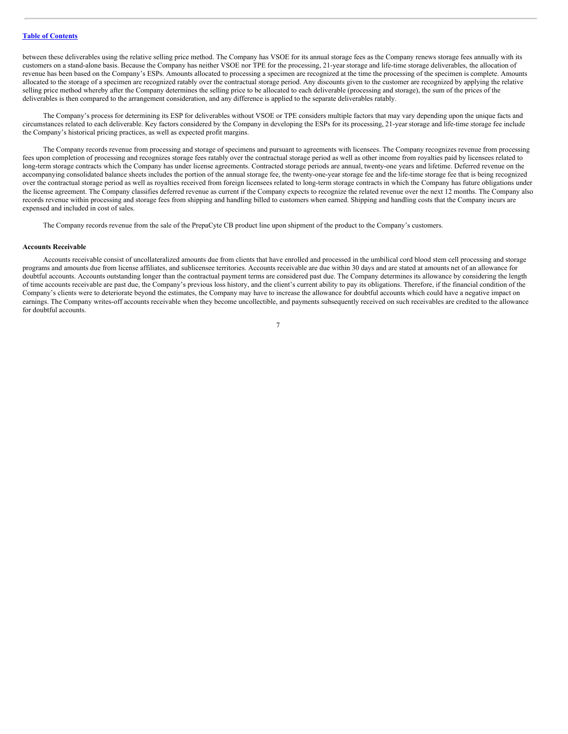between these deliverables using the relative selling price method. The Company has VSOE for its annual storage fees as the Company renews storage fees annually with its customers on a stand-alone basis. Because the Company has neither VSOE nor TPE for the processing, 21-year storage and life-time storage deliverables, the allocation of revenue has been based on the Company's ESPs. Amounts allocated to processing a specimen are recognized at the time the processing of the specimen is complete. Amounts allocated to the storage of a specimen are recognized ratably over the contractual storage period. Any discounts given to the customer are recognized by applying the relative selling price method whereby after the Company determines the selling price to be allocated to each deliverable (processing and storage), the sum of the prices of the deliverables is then compared to the arrangement consideration, and any difference is applied to the separate deliverables ratably.

The Company's process for determining its ESP for deliverables without VSOE or TPE considers multiple factors that may vary depending upon the unique facts and circumstances related to each deliverable. Key factors considered by the Company in developing the ESPs for its processing, 21-year storage and life-time storage fee include the Company's historical pricing practices, as well as expected profit margins.

The Company records revenue from processing and storage of specimens and pursuant to agreements with licensees. The Company recognizes revenue from processing fees upon completion of processing and recognizes storage fees ratably over the contractual storage period as well as other income from royalties paid by licensees related to long-term storage contracts which the Company has under license agreements. Contracted storage periods are annual, twenty-one years and lifetime. Deferred revenue on the accompanying consolidated balance sheets includes the portion of the annual storage fee, the twenty-one-year storage fee and the life-time storage fee that is being recognized over the contractual storage period as well as royalties received from foreign licensees related to long-term storage contracts in which the Company has future obligations under the license agreement. The Company classifies deferred revenue as current if the Company expects to recognize the related revenue over the next 12 months. The Company also records revenue within processing and storage fees from shipping and handling billed to customers when earned. Shipping and handling costs that the Company incurs are expensed and included in cost of sales.

The Company records revenue from the sale of the PrepaCyte CB product line upon shipment of the product to the Company's customers.

#### **Accounts Receivable**

Accounts receivable consist of uncollateralized amounts due from clients that have enrolled and processed in the umbilical cord blood stem cell processing and storage programs and amounts due from license affiliates, and sublicensee territories. Accounts receivable are due within 30 days and are stated at amounts net of an allowance for doubtful accounts. Accounts outstanding longer than the contractual payment terms are considered past due. The Company determines its allowance by considering the length of time accounts receivable are past due, the Company's previous loss history, and the client's current ability to pay its obligations. Therefore, if the financial condition of the Company's clients were to deteriorate beyond the estimates, the Company may have to increase the allowance for doubtful accounts which could have a negative impact on earnings. The Company writes-off accounts receivable when they become uncollectible, and payments subsequently received on such receivables are credited to the allowance for doubtful accounts.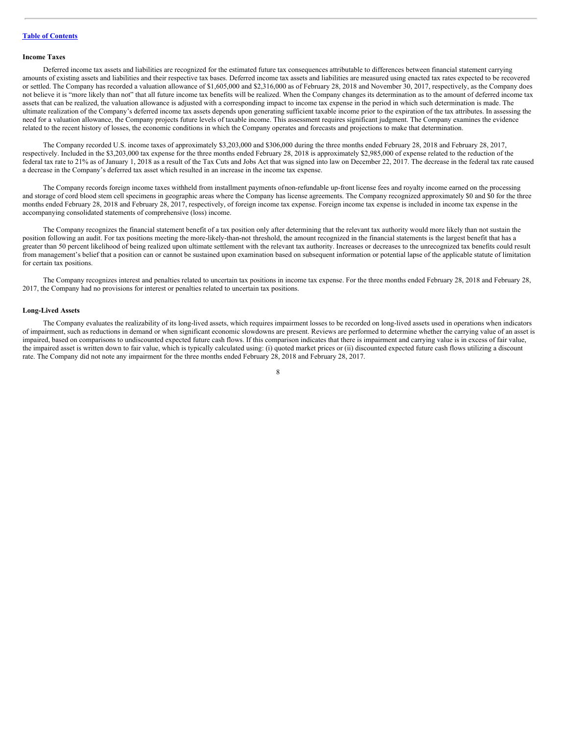#### **Income Taxes**

Deferred income tax assets and liabilities are recognized for the estimated future tax consequences attributable to differences between financial statement carrying amounts of existing assets and liabilities and their respective tax bases. Deferred income tax assets and liabilities are measured using enacted tax rates expected to be recovered or settled. The Company has recorded a valuation allowance of \$1,605,000 and \$2,316,000 as of February 28, 2018 and November 30, 2017, respectively, as the Company does not believe it is "more likely than not" that all future income tax benefits will be realized. When the Company changes its determination as to the amount of deferred income tax assets that can be realized, the valuation allowance is adjusted with a corresponding impact to income tax expense in the period in which such determination is made. The ultimate realization of the Company's deferred income tax assets depends upon generating sufficient taxable income prior to the expiration of the tax attributes. In assessing the need for a valuation allowance, the Company projects future levels of taxable income. This assessment requires significant judgment. The Company examines the evidence related to the recent history of losses, the economic conditions in which the Company operates and forecasts and projections to make that determination.

The Company recorded U.S. income taxes of approximately \$3,203,000 and \$306,000 during the three months ended February 28, 2018 and February 28, 2017, respectively. Included in the \$3,203,000 tax expense for the three months ended February 28, 2018 is approximately \$2,985,000 of expense related to the reduction of the federal tax rate to 21% as of January 1, 2018 as a result of the Tax Cuts and Jobs Act that was signed into law on December 22, 2017. The decrease in the federal tax rate caused a decrease in the Company's deferred tax asset which resulted in an increase in the income tax expense.

The Company records foreign income taxes withheld from installment payments ofnon-refundable up-front license fees and royalty income earned on the processing and storage of cord blood stem cell specimens in geographic areas where the Company has license agreements. The Company recognized approximately \$0 and \$0 for the three months ended February 28, 2018 and February 28, 2017, respectively, of foreign income tax expense. Foreign income tax expense is included in income tax expense in the accompanying consolidated statements of comprehensive (loss) income.

The Company recognizes the financial statement benefit of a tax position only after determining that the relevant tax authority would more likely than not sustain the position following an audit. For tax positions meeting the more-likely-than-not threshold, the amount recognized in the financial statements is the largest benefit that has a greater than 50 percent likelihood of being realized upon ultimate settlement with the relevant tax authority. Increases or decreases to the unrecognized tax benefits could result from management's belief that a position can or cannot be sustained upon examination based on subsequent information or potential lapse of the applicable statute of limitation for certain tax positions.

The Company recognizes interest and penalties related to uncertain tax positions in income tax expense. For the three months ended February 28, 2018 and February 28, 2017, the Company had no provisions for interest or penalties related to uncertain tax positions.

#### **Long-Lived Assets**

The Company evaluates the realizability of its long-lived assets, which requires impairment losses to be recorded on long-lived assets used in operations when indicators of impairment, such as reductions in demand or when significant economic slowdowns are present. Reviews are performed to determine whether the carrying value of an asset is impaired, based on comparisons to undiscounted expected future cash flows. If this comparison indicates that there is impairment and carrying value is in excess of fair value, the impaired asset is written down to fair value, which is typically calculated using: (i) quoted market prices or (ii) discounted expected future cash flows utilizing a discount rate. The Company did not note any impairment for the three months ended February 28, 2018 and February 28, 2017.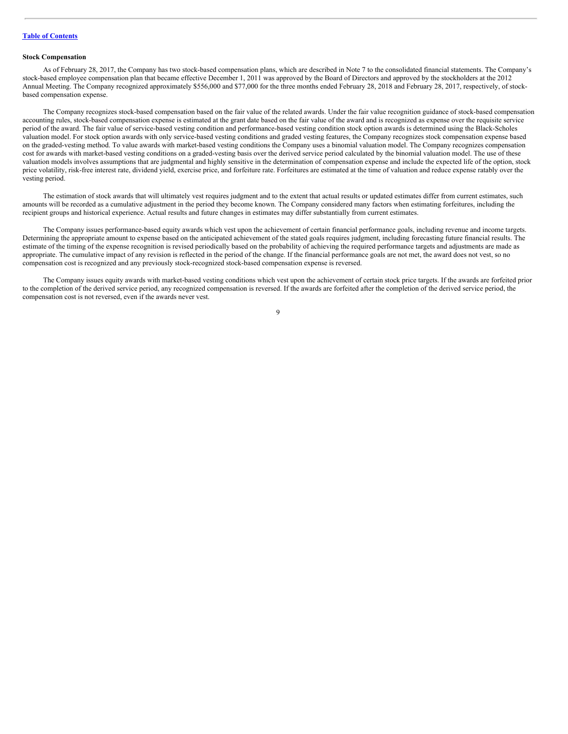#### **Stock Compensation**

As of February 28, 2017, the Company has two stock-based compensation plans, which are described in Note 7 to the consolidated financial statements. The Company's stock-based employee compensation plan that became effective December 1, 2011 was approved by the Board of Directors and approved by the stockholders at the 2012 Annual Meeting. The Company recognized approximately \$556,000 and \$77,000 for the three months ended February 28, 2018 and February 28, 2017, respectively, of stockbased compensation expense.

The Company recognizes stock-based compensation based on the fair value of the related awards. Under the fair value recognition guidance of stock-based compensation accounting rules, stock-based compensation expense is estimated at the grant date based on the fair value of the award and is recognized as expense over the requisite service period of the award. The fair value of service-based vesting condition and performance-based vesting condition stock option awards is determined using the Black-Scholes valuation model. For stock option awards with only service-based vesting conditions and graded vesting features, the Company recognizes stock compensation expense based on the graded-vesting method. To value awards with market-based vesting conditions the Company uses a binomial valuation model. The Company recognizes compensation cost for awards with market-based vesting conditions on a graded-vesting basis over the derived service period calculated by the binomial valuation model. The use of these valuation models involves assumptions that are judgmental and highly sensitive in the determination of compensation expense and include the expected life of the option, stock price volatility, risk-free interest rate, dividend yield, exercise price, and forfeiture rate. Forfeitures are estimated at the time of valuation and reduce expense ratably over the vesting period.

The estimation of stock awards that will ultimately vest requires judgment and to the extent that actual results or updated estimates differ from current estimates, such amounts will be recorded as a cumulative adjustment in the period they become known. The Company considered many factors when estimating forfeitures, including the recipient groups and historical experience. Actual results and future changes in estimates may differ substantially from current estimates.

The Company issues performance-based equity awards which vest upon the achievement of certain financial performance goals, including revenue and income targets. Determining the appropriate amount to expense based on the anticipated achievement of the stated goals requires judgment, including forecasting future financial results. The estimate of the timing of the expense recognition is revised periodically based on the probability of achieving the required performance targets and adjustments are made as appropriate. The cumulative impact of any revision is reflected in the period of the change. If the financial performance goals are not met, the award does not vest, so no compensation cost is recognized and any previously stock-recognized stock-based compensation expense is reversed.

The Company issues equity awards with market-based vesting conditions which vest upon the achievement of certain stock price targets. If the awards are forfeited prior to the completion of the derived service period, any recognized compensation is reversed. If the awards are forfeited after the completion of the derived service period, the compensation cost is not reversed, even if the awards never vest.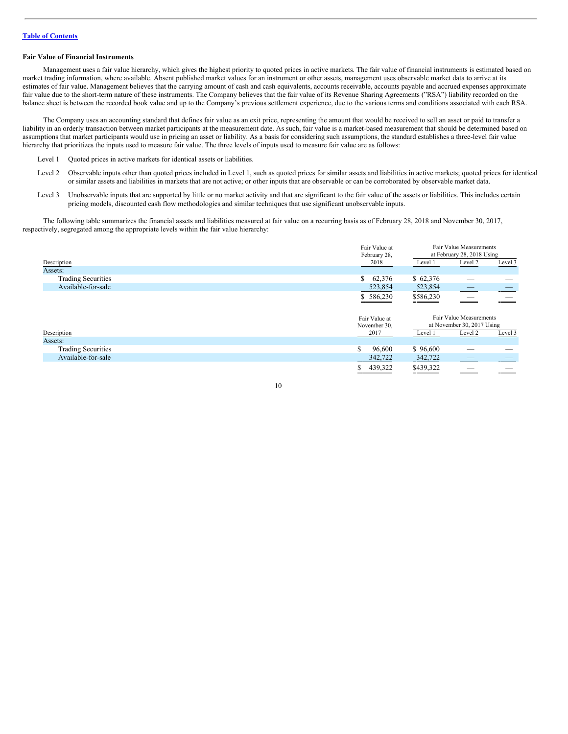#### **Fair Value of Financial Instruments**

Management uses a fair value hierarchy, which gives the highest priority to quoted prices in active markets. The fair value of financial instruments is estimated based on market trading information, where available. Absent published market values for an instrument or other assets, management uses observable market data to arrive at its estimates of fair value. Management believes that the carrying amount of cash and cash equivalents, accounts receivable, accounts payable and accrued expenses approximate fair value due to the short-term nature of these instruments. The Company believes that the fair value of its Revenue Sharing Agreements ("RSA") liability recorded on the balance sheet is between the recorded book value and up to the Company's previous settlement experience, due to the various terms and conditions associated with each RSA.

The Company uses an accounting standard that defines fair value as an exit price, representing the amount that would be received to sell an asset or paid to transfer a liability in an orderly transaction between market participants at the measurement date. As such, fair value is a market-based measurement that should be determined based on assumptions that market participants would use in pricing an asset or liability. As a basis for considering such assumptions, the standard establishes a three-level fair value hierarchy that prioritizes the inputs used to measure fair value. The three levels of inputs used to measure fair value are as follows:

- Level 1 Quoted prices in active markets for identical assets or liabilities.
- Level 2 Observable inputs other than quoted prices included in Level 1, such as quoted prices for similar assets and liabilities in active markets; quoted prices for identical or similar assets and liabilities in markets that are not active; or other inputs that are observable or can be corroborated by observable market data.
- Level 3 Unobservable inputs that are supported by little or no market activity and that are significant to the fair value of the assets or liabilities. This includes certain pricing models, discounted cash flow methodologies and similar techniques that use significant unobservable inputs.

The following table summarizes the financial assets and liabilities measured at fair value on a recurring basis as of February 28, 2018 and November 30, 2017, respectively, segregated among the appropriate levels within the fair value hierarchy:

|                           | Fair Value at<br>February 28, |           | Fair Value Measurements<br>at February 28, 2018 Using |         |  |
|---------------------------|-------------------------------|-----------|-------------------------------------------------------|---------|--|
| Description               | 2018                          | Level 1   | Level 2                                               | Level 3 |  |
| Assets:                   |                               |           |                                                       |         |  |
| <b>Trading Securities</b> | $\mathbb{S}$<br>62,376        | \$62,376  |                                                       |         |  |
| Available-for-sale        | 523,854                       | 523,854   |                                                       |         |  |
|                           | \$586,230                     | \$586,230 |                                                       |         |  |
|                           | Fair Value at                 |           | Fair Value Measurements                               |         |  |
|                           | November 30,                  | Level 1   | at November 30, 2017 Using<br>Level 2                 | Level 3 |  |
| Description<br>Assets:    | 2017                          |           |                                                       |         |  |
| <b>Trading Securities</b> | S<br>96,600                   | \$96,600  |                                                       |         |  |
| Available-for-sale        | 342,722                       | 342,722   |                                                       |         |  |

10

\$439,322 \$439,322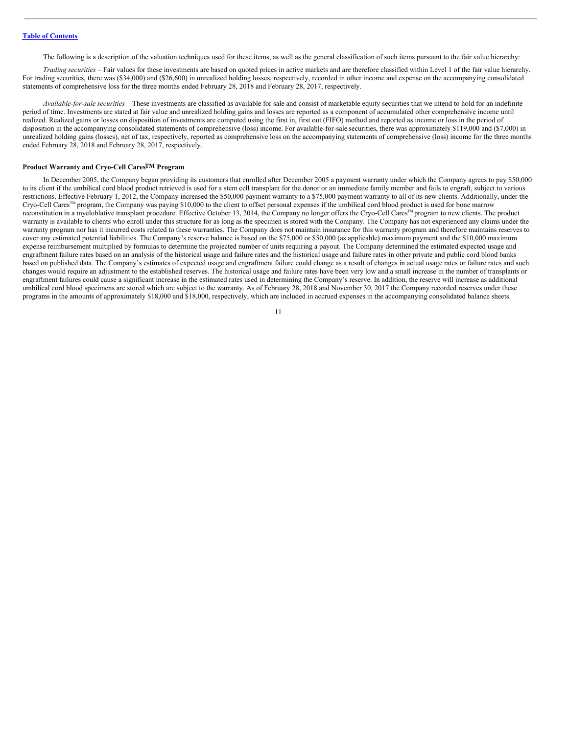The following is a description of the valuation techniques used for these items, as well as the general classification of such items pursuant to the fair value hierarchy:

*Trading securities –* Fair values for these investments are based on quoted prices in active markets and are therefore classified within Level 1 of the fair value hierarchy. For trading securities, there was (\$34,000) and (\$26,600) in unrealized holding losses, respectively, recorded in other income and expense on the accompanying consolidated statements of comprehensive loss for the three months ended February 28, 2018 and February 28, 2017, respectively.

*Available-for-sale securities –* These investments are classified as available for sale and consist of marketable equity securities that we intend to hold for an indefinite period of time. Investments are stated at fair value and unrealized holding gains and losses are reported as a component of accumulated other comprehensive income until realized. Realized gains or losses on disposition of investments are computed using the first in, first out (FIFO) method and reported as income or loss in the period of disposition in the accompanying consolidated statements of comprehensive (loss) income. For available-for-sale securities, there was approximately \$119,000 and (\$7,000) in unrealized holding gains (losses), net of tax, respectively, reported as comprehensive loss on the accompanying statements of comprehensive (loss) income for the three months ended February 28, 2018 and February 28, 2017, respectively.

#### **Product Warranty and Cryo-Cell CaresTM Program**

In December 2005, the Company began providing its customers that enrolled after December 2005 a payment warranty under which the Company agrees to pay \$50,000 to its client if the umbilical cord blood product retrieved is used for a stem cell transplant for the donor or an immediate family member and fails to engraft, subject to various restrictions. Effective February 1, 2012, the Company increased the \$50,000 payment warranty to a \$75,000 payment warranty to all of its new clients. Additionally, under the Cryo-Cell Cares<sup>™</sup> program, the Company was paying \$10,000 to the client to offset personal expenses if the umbilical cord blood product is used for bone marrow reconstitution in a myeloblative transplant procedure. Effective October 13, 2014, the Company no longer offers the Cryo-Cell Cares™ program to new clients. The product warranty is available to clients who enroll under this structure for as long as the specimen is stored with the Company. The Company has not experienced any claims under the warranty program nor has it incurred costs related to these warranties. The Company does not maintain insurance for this warranty program and therefore maintains reserves to cover any estimated potential liabilities. The Company's reserve balance is based on the \$75,000 or \$50,000 (as applicable) maximum payment and the \$10,000 maximum expense reimbursement multiplied by formulas to determine the projected number of units requiring a payout. The Company determined the estimated expected usage and engraftment failure rates based on an analysis of the historical usage and failure rates and the historical usage and failure rates in other private and public cord blood banks based on published data. The Company's estimates of expected usage and engraftment failure could change as a result of changes in actual usage rates or failure rates and such changes would require an adjustment to the established reserves. The historical usage and failure rates have been very low and a small increase in the number of transplants or engraftment failures could cause a significant increase in the estimated rates used in determining the Company's reserve. In addition, the reserve will increase as additional umbilical cord blood specimens are stored which are subject to the warranty. As of February 28, 2018 and November 30, 2017 the Company recorded reserves under these programs in the amounts of approximately \$18,000 and \$18,000, respectively, which are included in accrued expenses in the accompanying consolidated balance sheets.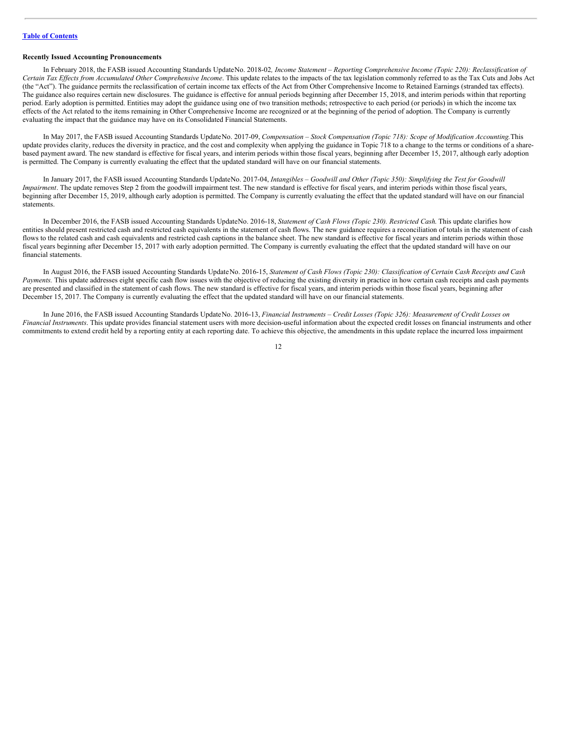#### **Recently Issued Accounting Pronouncements**

In February 2018, the FASB issued Accounting Standards UpdateNo. 2018-02, Income Statement - Reporting Comprehensive Income (Topic 220): Reclassification of Certain Tax Effects from Accumulated Other Comprehensive Income. This update relates to the impacts of the tax legislation commonly referred to as the Tax Cuts and Jobs Act (the "Act"). The guidance permits the reclassification of certain income tax effects of the Act from Other Comprehensive Income to Retained Earnings (stranded tax effects). The guidance also requires certain new disclosures. The guidance is effective for annual periods beginning after December 15, 2018, and interim periods within that reporting period. Early adoption is permitted. Entities may adopt the guidance using one of two transition methods; retrospective to each period (or periods) in which the income tax effects of the Act related to the items remaining in Other Comprehensive Income are recognized or at the beginning of the period of adoption. The Company is currently evaluating the impact that the guidance may have on its Consolidated Financial Statements.

In May 2017, the FASB issued Accounting Standards UpdateNo. 2017-09, *Compensation – Stock Compensation (Topic 718): Scope of Modification Accounting.*This update provides clarity, reduces the diversity in practice, and the cost and complexity when applying the guidance in Topic 718 to a change to the terms or conditions of a sharebased payment award. The new standard is effective for fiscal years, and interim periods within those fiscal years, beginning after December 15, 2017, although early adoption is permitted. The Company is currently evaluating the effect that the updated standard will have on our financial statements.

In January 2017, the FASB issued Accounting Standards UpdateNo. 2017-04, Intangibles - Goodwill and Other (Topic 350): Simplifying the Test for Goodwill *Impairment*. The update removes Step 2 from the goodwill impairment test. The new standard is effective for fiscal years, and interim periods within those fiscal years, beginning after December 15, 2019, although early adoption is permitted. The Company is currently evaluating the effect that the updated standard will have on our financial statements.

In December 2016, the FASB issued Accounting Standards UpdateNo. 2016-18, *Statement of Cash Flows (Topic 230). Restricted Cash*. This update clarifies how entities should present restricted cash and restricted cash equivalents in the statement of cash flows. The new guidance requires a reconciliation of totals in the statement of cash flows to the related cash and cash equivalents and restricted cash captions in the balance sheet. The new standard is effective for fiscal years and interim periods within those fiscal years beginning after December 15, 2017 with early adoption permitted. The Company is currently evaluating the effect that the updated standard will have on our financial statements.

In August 2016, the FASB issued Accounting Standards Update No. 2016-15, Statement of Cash Flows (Topic 230): Classification of Certain Cash Receipts and Cash *Payments.* This update addresses eight specific cash flow issues with the objective of reducing the existing diversity in practice in how certain cash receipts and cash payments are presented and classified in the statement of cash flows. The new standard is effective for fiscal years, and interim periods within those fiscal years, beginning after December 15, 2017. The Company is currently evaluating the effect that the updated standard will have on our financial statements.

In June 2016, the FASB issued Accounting Standards UpdateNo. 2016-13, Financial Instruments - Credit Losses (Topic 326): Measurement of Credit Losses on *Financial Instruments*. This update provides financial statement users with more decision-useful information about the expected credit losses on financial instruments and other commitments to extend credit held by a reporting entity at each reporting date. To achieve this objective, the amendments in this update replace the incurred loss impairment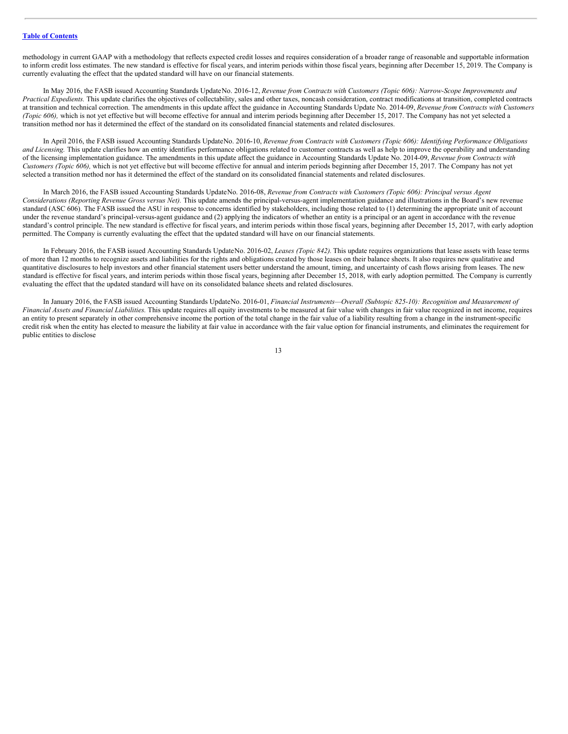methodology in current GAAP with a methodology that reflects expected credit losses and requires consideration of a broader range of reasonable and supportable information to inform credit loss estimates. The new standard is effective for fiscal years, and interim periods within those fiscal years, beginning after December 15, 2019. The Company is currently evaluating the effect that the updated standard will have on our financial statements.

In May 2016, the FASB issued Accounting Standards UpdateNo. 2016-12, *Revenue from Contracts with Customers (Topic 606): Narrow-Scope Improvements and Practical Expedients.* This update clarifies the objectives of collectability, sales and other taxes, noncash consideration, contract modifications at transition, completed contracts at transition and technical correction. The amendments in this update affect the guidance in Accounting Standards Update No. 2014-09, *Revenue from Contracts with Customers (Topic 606),* which is not yet effective but will become effective for annual and interim periods beginning after December 15, 2017. The Company has not yet selected a transition method nor has it determined the effect of the standard on its consolidated financial statements and related disclosures.

In April 2016, the FASB issued Accounting Standards UpdateNo. 2016-10, Revenue from Contracts with Customers (Topic 606): Identifying Performance Obligations *and Licensing*. This update clarifies how an entity identifies performance obligations related to customer contracts as well as help to improve the operability and understanding of the licensing implementation guidance. The amendments in this update affect the guidance in Accounting Standards Update No. 2014-09, *Revenue from Contracts with Customers (Topic 606),* which is not yet effective but will become effective for annual and interim periods beginning after December 15, 2017. The Company has not yet selected a transition method nor has it determined the effect of the standard on its consolidated financial statements and related disclosures.

In March 2016, the FASB issued Accounting Standards UpdateNo. 2016-08, *Revenue from Contracts with Customers (Topic 606): Principal versus Agent Considerations (Reporting Revenue Gross versus Net).* This update amends the principal-versus-agent implementation guidance and illustrations in the Board's new revenue standard (ASC 606). The FASB issued the ASU in response to concerns identified by stakeholders, including those related to (1) determining the appropriate unit of account under the revenue standard's principal-versus-agent guidance and (2) applying the indicators of whether an entity is a principal or an agent in accordance with the revenue standard's control principle. The new standard is effective for fiscal years, and interim periods within those fiscal years, beginning after December 15, 2017, with early adoption permitted. The Company is currently evaluating the effect that the updated standard will have on our financial statements.

In February 2016, the FASB issued Accounting Standards UpdateNo. 2016-02, *Leases (Topic 842).* This update requires organizations that lease assets with lease terms of more than 12 months to recognize assets and liabilities for the rights and obligations created by those leases on their balance sheets. It also requires new qualitative and quantitative disclosures to help investors and other financial statement users better understand the amount, timing, and uncertainty of cash flows arising from leases. The new standard is effective for fiscal years, and interim periods within those fiscal years, beginning after December 15, 2018, with early adoption permitted. The Company is currently evaluating the effect that the updated standard will have on its consolidated balance sheets and related disclosures.

In January 2016, the FASB issued Accounting Standards UpdateNo. 2016-01, *Financial Instruments—Overall (Subtopic 825-10): Recognition and Measurement of Financial Assets and Financial Liabilities.* This update requires all equity investments to be measured at fair value with changes in fair value recognized in net income, requires an entity to present separately in other comprehensive income the portion of the total change in the fair value of a liability resulting from a change in the instrument-specific credit risk when the entity has elected to measure the liability at fair value in accordance with the fair value option for financial instruments, and eliminates the requirement for public entities to disclose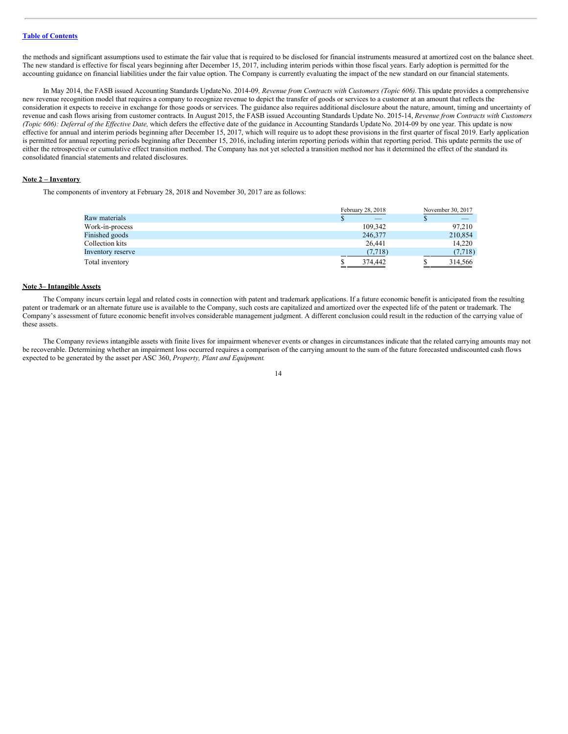the methods and significant assumptions used to estimate the fair value that is required to be disclosed for financial instruments measured at amortized cost on the balance sheet. The new standard is effective for fiscal years beginning after December 15, 2017, including interim periods within those fiscal years. Early adoption is permitted for the accounting guidance on financial liabilities under the fair value option. The Company is currently evaluating the impact of the new standard on our financial statements.

In May 2014, the FASB issued Accounting Standards UpdateNo. 2014-09*, Revenue from Contracts with Customers (Topic 606).*This update provides a comprehensive new revenue recognition model that requires a company to recognize revenue to depict the transfer of goods or services to a customer at an amount that reflects the consideration it expects to receive in exchange for those goods or services. The guidance also requires additional disclosure about the nature, amount, timing and uncertainty of revenue and cash flows arising from customer contracts. In August 2015, the FASB issued Accounting Standards Update No. 2015-14, *Revenue from Contracts with Customers (Topic 606): Deferral of the Effective Date, which defers the effective date of the guidance in Accounting Standards UpdateNo. 2014-09 by one year. This update is now* effective for annual and interim periods beginning after December 15, 2017, which will require us to adopt these provisions in the first quarter of fiscal 2019. Early application is permitted for annual reporting periods beginning after December 15, 2016, including interim reporting periods within that reporting period. This update permits the use of either the retrospective or cumulative effect transition method. The Company has not yet selected a transition method nor has it determined the effect of the standard its consolidated financial statements and related disclosures.

#### **Note 2 – Inventory**

The components of inventory at February 28, 2018 and November 30, 2017 are as follows:

| February 28, 2018 | November 30, 2017 |         |
|-------------------|-------------------|---------|
| $-$               |                   |         |
| 109.342           |                   | 97.210  |
| 246,377           |                   | 210,854 |
| 26.441            |                   | 14.220  |
| (7, 718)          |                   | (7,718) |
| 374,442           |                   | 314,566 |
|                   |                   |         |

#### **Note 3– Intangible Assets**

The Company incurs certain legal and related costs in connection with patent and trademark applications. If a future economic benefit is anticipated from the resulting patent or trademark or an alternate future use is available to the Company, such costs are capitalized and amortized over the expected life of the patent or trademark. The Company's assessment of future economic benefit involves considerable management judgment. A different conclusion could result in the reduction of the carrying value of these assets.

The Company reviews intangible assets with finite lives for impairment whenever events or changes in circumstances indicate that the related carrying amounts may not be recoverable. Determining whether an impairment loss occurred requires a comparison of the carrying amount to the sum of the future forecasted undiscounted cash flows expected to be generated by the asset per ASC 360, *Property, Plant and Equipment*.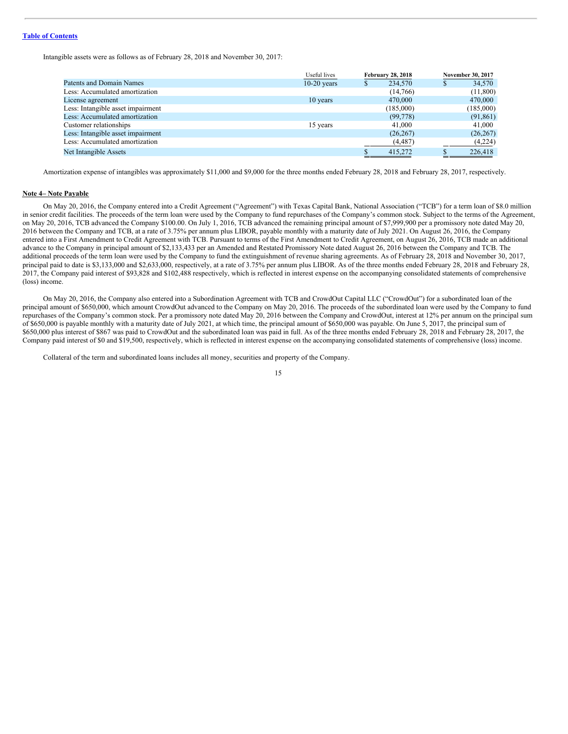Intangible assets were as follows as of February 28, 2018 and November 30, 2017:

|                                   | Useful lives  | <b>February 28, 2018</b> | November 30, 2017 |
|-----------------------------------|---------------|--------------------------|-------------------|
| Patents and Domain Names          | $10-20$ years | 234,570<br>S             | 34,570            |
| Less: Accumulated amortization    |               | (14,766)                 | (11,800)          |
| License agreement                 | 10 years      | 470,000                  | 470,000           |
| Less: Intangible asset impairment |               | (185,000)                | (185,000)         |
| Less: Accumulated amortization    |               | (99, 778)                | (91, 861)         |
| Customer relationships            | 15 years      | 41,000                   | 41,000            |
| Less: Intangible asset impairment |               | (26, 267)                | (26, 267)         |
| Less: Accumulated amortization    |               | (4, 487)                 | (4,224)           |
| Net Intangible Assets             |               | 415,272                  | 226,418           |

Amortization expense of intangibles was approximately \$11,000 and \$9,000 for the three months ended February 28, 2018 and February 28, 2017, respectively.

#### **Note 4– Note Payable**

On May 20, 2016, the Company entered into a Credit Agreement ("Agreement") with Texas Capital Bank, National Association ("TCB") for a term loan of \$8.0 million in senior credit facilities. The proceeds of the term loan were used by the Company to fund repurchases of the Company's common stock. Subject to the terms of the Agreement, on May 20, 2016, TCB advanced the Company \$100.00. On July 1, 2016, TCB advanced the remaining principal amount of \$7,999,900 per a promissory note dated May 20, 2016 between the Company and TCB, at a rate of 3.75% per annum plus LIBOR, payable monthly with a maturity date of July 2021. On August 26, 2016, the Company entered into a First Amendment to Credit Agreement with TCB. Pursuant to terms of the First Amendment to Credit Agreement, on August 26, 2016, TCB made an additional advance to the Company in principal amount of \$2,133,433 per an Amended and Restated Promissory Note dated August 26, 2016 between the Company and TCB. The additional proceeds of the term loan were used by the Company to fund the extinguishment of revenue sharing agreements. As of February 28, 2018 and November 30, 2017, principal paid to date is \$3,133,000 and \$2,633,000, respectively, at a rate of 3.75% per annum plus LIBOR. As of the three months ended February 28, 2018 and February 28, 2017, the Company paid interest of \$93,828 and \$102,488 respectively, which is reflected in interest expense on the accompanying consolidated statements of comprehensive (loss) income.

On May 20, 2016, the Company also entered into a Subordination Agreement with TCB and CrowdOut Capital LLC ("CrowdOut") for a subordinated loan of the principal amount of \$650,000, which amount CrowdOut advanced to the Company on May 20, 2016. The proceeds of the subordinated loan were used by the Company to fund repurchases of the Company's common stock. Per a promissory note dated May 20, 2016 between the Company and CrowdOut, interest at 12% per annum on the principal sum of \$650,000 is payable monthly with a maturity date of July 2021, at which time, the principal amount of  $$650,000$  was payable. On June 5, 2017, the principal sum of \$650,000 plus interest of \$867 was paid to CrowdOut and the subordinated loan was paid in full. As of the three months ended February 28, 2018 and February 28, 2017, the Company paid interest of \$0 and \$19,500, respectively, which is reflected in interest expense on the accompanying consolidated statements of comprehensive (loss) income.

Collateral of the term and subordinated loans includes all money, securities and property of the Company.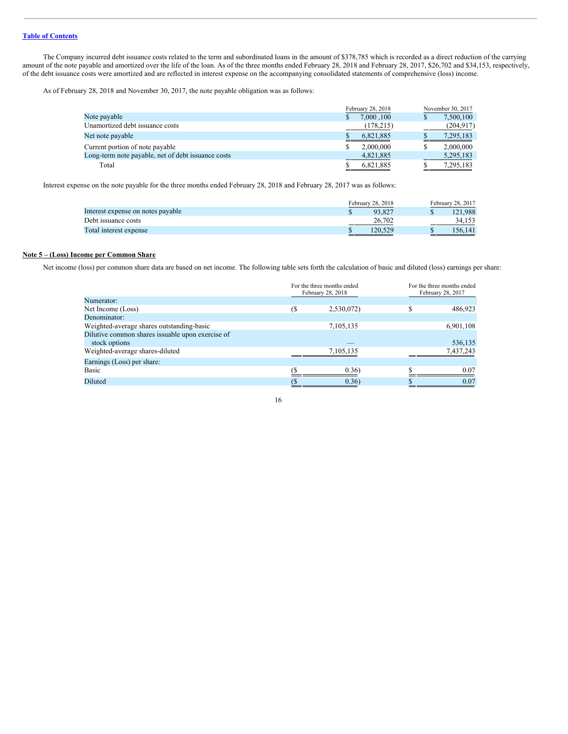The Company incurred debt issuance costs related to the term and subordinated loans in the amount of \$378,785 which is recorded as a direct reduction of the carrying amount of the note payable and amortized over the life of the loan. As of the three months ended February 28, 2018 and February 28, 2017, \$26,702 and \$34,153, respectively, of the debt issuance costs were amortized and are reflected in interest expense on the accompanying consolidated statements of comprehensive (loss) income.

As of February 28, 2018 and November 30, 2017, the note payable obligation was as follows:

|                                                    | February 28, 2018 | November 30, 2017 |  |
|----------------------------------------------------|-------------------|-------------------|--|
| Note payable                                       | 7.000.100<br>S    | 7,500,100         |  |
| Unamortized debt issuance costs                    | (178, 215)        | (204, 917)        |  |
| Net note payable                                   | 6,821,885         | 7,295,183         |  |
| Current portion of note payable                    | 2,000,000         | 2,000,000         |  |
| Long-term note payable, net of debt issuance costs | 4,821,885         | 5,295,183         |  |
| Total                                              | 6,821,885         | 7,295,183         |  |

Interest expense on the note payable for the three months ended February 28, 2018 and February 28, 2017 was as follows:

|                                   | February 28, 2018 | February 28, 2017 |  |
|-----------------------------------|-------------------|-------------------|--|
| Interest expense on notes payable | 93.827            | 121.988           |  |
| Debt issuance costs               | 26,702            |                   |  |
| Total interest expense            | 120.529           | 156.141           |  |

# **Note 5 – (Loss) Income per Common Share**

Net income (loss) per common share data are based on net income. The following table sets forth the calculation of basic and diluted (loss) earnings per share:

|                                                                   | For the three months ended<br>February 28, 2018 |            | For the three months ended<br>February 28, 2017 |           |
|-------------------------------------------------------------------|-------------------------------------------------|------------|-------------------------------------------------|-----------|
| Numerator:                                                        |                                                 |            |                                                 |           |
| Net Income (Loss)                                                 | $\left( \mathsf{S}\right)$                      | 2,530,072) | \$                                              | 486,923   |
| Denominator:                                                      |                                                 |            |                                                 |           |
| Weighted-average shares outstanding-basic                         |                                                 | 7,105,135  |                                                 | 6,901,108 |
| Dilutive common shares issuable upon exercise of<br>stock options |                                                 |            |                                                 | 536,135   |
| Weighted-average shares-diluted                                   |                                                 | 7,105,135  |                                                 | 7,437,243 |
| Earnings (Loss) per share:                                        |                                                 |            |                                                 |           |
| Basic                                                             |                                                 | (0.36)     |                                                 | 0.07      |
| Diluted                                                           |                                                 | (0.36)     |                                                 | 0.07      |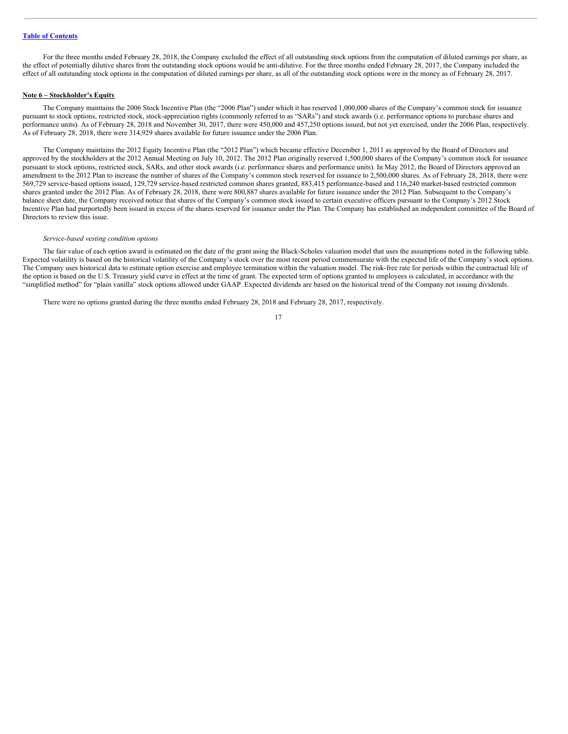For the three months ended February 28, 2018, the Company excluded the effect of all outstanding stock options from the computation of diluted earnings per share, as the effect of potentially dilutive shares from the outstanding stock options would be anti-dilutive. For the three months ended February 28, 2017, the Company included the effect of all outstanding stock options in the computation of diluted earnings per share, as all of the outstanding stock options were in the money as of February 28, 2017.

#### **Note 6 – Stockholder's Equity**

The Company maintains the 2006 Stock Incentive Plan (the "2006 Plan") under which it has reserved 1,000,000 shares of the Company's common stock for issuance pursuant to stock options, restricted stock, stock-appreciation rights (commonly referred to as "SARs") and stock awards (i.e. performance options to purchase shares and performance units). As of February 28, 2018 and November 30, 2017, there were 450,000 and 457,250 options issued, but not yet exercised, under the 2006 Plan, respectively. As of February 28, 2018, there were 314,929 shares available for future issuance under the 2006 Plan.

The Company maintains the 2012 Equity Incentive Plan (the "2012 Plan") which became effective December 1, 2011 as approved by the Board of Directors and approved by the stockholders at the 2012 Annual Meeting on July 10, 2012. The 2012 Plan originally reserved 1,500,000 shares of the Company's common stock for issuance pursuant to stock options, restricted stock, SARs, and other stock awards (i.e. performance shares and performance units). In May 2012, the Board of Directors approved an amendment to the 2012 Plan to increase the number of shares of the Company's common stock reserved for issuance to 2,500,000 shares. As of February 28, 2018, there were 569,729 service-based options issued, 129,729 service-based restricted common shares granted, 883,415 performance-based and 116,240 market-based restricted common shares granted under the 2012 Plan. As of February 28, 2018, there were 800,887 shares available for future issuance under the 2012 Plan. Subsequent to the Company's balance sheet date, the Company received notice that shares of the Company's common stock issued to certain executive officers pursuant to the Company's 2012 Stock Incentive Plan had purportedly been issued in excess of the shares reserved for issuance under the Plan. The Company has established an independent committee of the Board of Directors to review this issue.

#### *Service-based vesting condition options*

The fair value of each option award is estimated on the date of the grant using the Black-Scholes valuation model that uses the assumptions noted in the following table. Expected volatility is based on the historical volatility of the Company's stock over the most recent period commensurate with the expected life of the Company's stock options. The Company uses historical data to estimate option exercise and employee termination within the valuation model. The risk-free rate for periods within the contractual life of the option is based on the U.S. Treasury yield curve in effect at the time of grant. The expected term of options granted to employees is calculated, in accordance with the "simplified method" for "plain vanilla" stock options allowed under GAAP. Expected dividends are based on the historical trend of the Company not issuing dividends.

There were no options granted during the three months ended February 28, 2018 and February 28, 2017, respectively.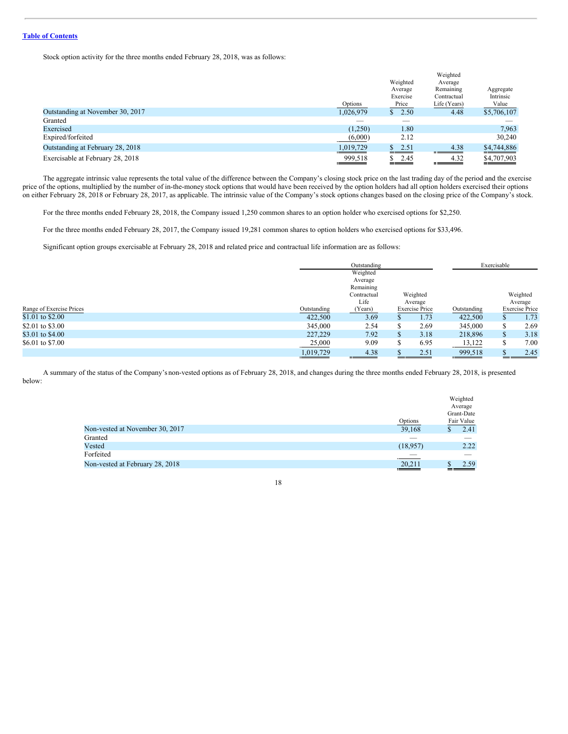Stock option activity for the three months ended February 28, 2018, was as follows:

|                                  |           |                 | Weighted        |             |
|----------------------------------|-----------|-----------------|-----------------|-------------|
|                                  |           | Weighted        | Average         |             |
|                                  |           | Average         | Remaining       | Aggregate   |
|                                  |           | Exercise        | Contractual     | Intrinsic   |
|                                  | Options   | Price           | Life (Years)    | Value       |
| Outstanding at November 30, 2017 | 1,026,979 | \$2.50          | 4.48            | \$5,706,107 |
| Granted                          |           |                 |                 |             |
| Exercised                        | (1,250)   | 1.80            |                 | 7.963       |
| Expired/forfeited                | (6,000)   | 2.12            |                 | 30,240      |
| Outstanding at February 28, 2018 | 1,019,729 | \$2.51          | 4.38            | \$4,744,886 |
| Exercisable at February 28, 2018 | 999,518   | \$2.45<br>_____ | 4.32<br>_______ | \$4,707,903 |

The aggregate intrinsic value represents the total value of the difference between the Company's closing stock price on the last trading day of the period and the exercise price of the options, multiplied by the number of in-the-money stock options that would have been received by the option holders had all option holders exercised their options on either February 28, 2018 or February 28, 2017, as applicable. The intrinsic value of the Company's stock options changes based on the closing price of the Company's stock.

For the three months ended February 28, 2018, the Company issued 1,250 common shares to an option holder who exercised options for \$2,250.

For the three months ended February 28, 2017, the Company issued 19,281 common shares to option holders who exercised options for \$33,496.

Significant option groups exercisable at February 28, 2018 and related price and contractual life information are as follows:

|                          |             | Outstanding |                       |          | Exercisable |                       |          |
|--------------------------|-------------|-------------|-----------------------|----------|-------------|-----------------------|----------|
|                          |             | Weighted    |                       |          |             |                       |          |
|                          |             | Average     |                       |          |             |                       |          |
|                          |             | Remaining   |                       |          |             |                       |          |
|                          |             | Contractual |                       | Weighted |             |                       | Weighted |
|                          |             | Life        |                       | Average  |             |                       | Average  |
| Range of Exercise Prices | Outstanding | (Years)     | <b>Exercise Price</b> |          | Outstanding | <b>Exercise Price</b> |          |
| \$1.01 to \$2.00         | 422,500     | 3.69        | ъ                     | 1.73     | 422,500     | Ъ.                    | 1.73     |
| \$2.01 to \$3.00         | 345,000     | 2.54        | S                     | 2.69     | 345,000     | S                     | 2.69     |
| \$3.01 to \$4.00         | 227,229     | 7.92        | S                     | 3.18     | 218,896     | S                     | 3.18     |
| \$6.01 to \$7.00         | 25,000      | 9.09        | S                     | 6.95     | 13,122      | \$                    | 7.00     |
|                          | 1,019,729   | 4.38        |                       | 2.51     | 999,518     |                       | 2.45     |

A summary of the status of the Company's non-vested options as of February 28, 2018, and changes during the three months ended February 28, 2018, is presented below:

|                                 |          | Weighted   |
|---------------------------------|----------|------------|
|                                 |          | Average    |
|                                 |          | Grant-Date |
|                                 | Options  | Fair Value |
| Non-vested at November 30, 2017 | 39,168   | 2.41       |
| Granted                         |          |            |
| Vested                          | (18,957) | 2.22       |
| Forfeited                       |          |            |
| Non-vested at February 28, 2018 | 20.211   | 2.59       |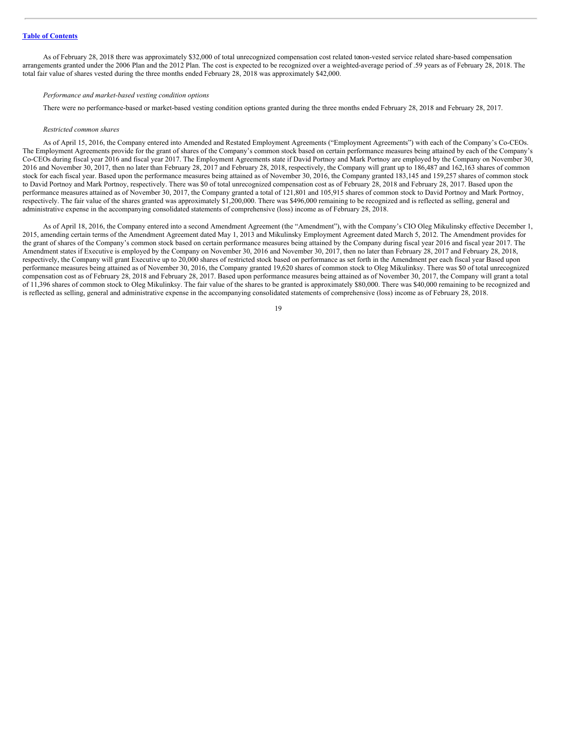As of February 28, 2018 there was approximately \$32,000 of total unrecognized compensation cost related tonon-vested service related share-based compensation arrangements granted under the 2006 Plan and the 2012 Plan. The cost is expected to be recognized over a weighted-average period of .59 years as of February 28, 2018. The total fair value of shares vested during the three months ended February 28, 2018 was approximately \$42,000.

#### *Performance and market-based vesting condition options*

There were no performance-based or market-based vesting condition options granted during the three months ended February 28, 2018 and February 28, 2017.

#### *Restricted common shares*

As of April 15, 2016, the Company entered into Amended and Restated Employment Agreements ("Employment Agreements") with each of the Company's Co-CEOs. The Employment Agreements provide for the grant of shares of the Company's common stock based on certain performance measures being attained by each of the Company's Co-CEOs during fiscal year 2016 and fiscal year 2017. The Employment Agreements state if David Portnoy and Mark Portnoy are employed by the Company on November 30, 2016 and November 30, 2017, then no later than February 28, 2017 and February 28, 2018, respectively, the Company will grant up to 186,487 and 162,163 shares of common stock for each fiscal year. Based upon the performance measures being attained as of November 30, 2016, the Company granted 183,145 and 159,257 shares of common stock to David Portnoy and Mark Portnoy, respectively. There was \$0 of total unrecognized compensation cost as of February 28, 2018 and February 28, 2017. Based upon the performance measures attained as of November 30, 2017, the Company granted a total of 121,801 and 105,915 shares of common stock to David Portnoy and Mark Portnoy, respectively. The fair value of the shares granted was approximately \$1,200,000. There was \$496,000 remaining to be recognized and is reflected as selling, general and administrative expense in the accompanying consolidated statements of comprehensive (loss) income as of February 28, 2018.

As of April 18, 2016, the Company entered into a second Amendment Agreement (the "Amendment"), with the Company's CIO Oleg Mikulinsky effective December 1, 2015, amending certain terms of the Amendment Agreement dated May 1, 2013 and Mikulinsky Employment Agreement dated March 5, 2012. The Amendment provides for the grant of shares of the Company's common stock based on certain performance measures being attained by the Company during fiscal year 2016 and fiscal year 2017. The Amendment states if Executive is employed by the Company on November 30, 2016 and November 30, 2017, then no later than February 28, 2017 and February 28, 2018, respectively, the Company will grant Executive up to 20,000 shares of restricted stock based on performance as set forth in the Amendment per each fiscal year Based upon performance measures being attained as of November 30, 2016, the Company granted 19,620 shares of common stock to Oleg Mikulinksy. There was \$0 of total unrecognized compensation cost as of February 28, 2018 and February 28, 2017. Based upon performance measures being attained as of November 30, 2017, the Company will grant a total of 11,396 shares of common stock to Oleg Mikulinksy. The fair value of the shares to be granted is approximately \$80,000. There was \$40,000 remaining to be recognized and is reflected as selling, general and administrative expense in the accompanying consolidated statements of comprehensive (loss) income as of February 28, 2018.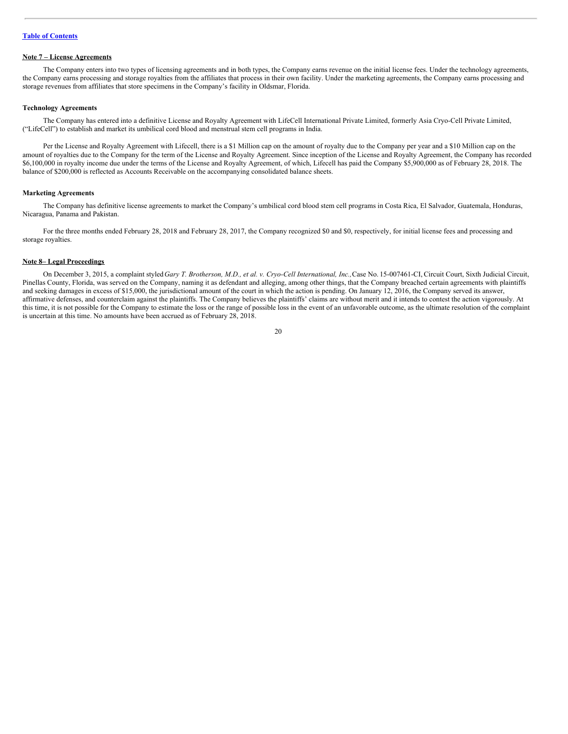## **Note 7 – License Agreements**

The Company enters into two types of licensing agreements and in both types, the Company earns revenue on the initial license fees. Under the technology agreements, the Company earns processing and storage royalties from the affiliates that process in their own facility. Under the marketing agreements, the Company earns processing and storage revenues from affiliates that store specimens in the Company's facility in Oldsmar, Florida.

#### **Technology Agreements**

The Company has entered into a definitive License and Royalty Agreement with LifeCell International Private Limited, formerly Asia Cryo-Cell Private Limited, ("LifeCell") to establish and market its umbilical cord blood and menstrual stem cell programs in India.

Per the License and Royalty Agreement with Lifecell, there is a \$1 Million cap on the amount of royalty due to the Company per year and a \$10 Million cap on the amount of royalties due to the Company for the term of the License and Royalty Agreement. Since inception of the License and Royalty Agreement, the Company has recorded \$6,100,000 in royalty income due under the terms of the License and Royalty Agreement, of which, Lifecell has paid the Company \$5,900,000 as of February 28, 2018. The balance of \$200,000 is reflected as Accounts Receivable on the accompanying consolidated balance sheets.

#### **Marketing Agreements**

The Company has definitive license agreements to market the Company's umbilical cord blood stem cell programs in Costa Rica, El Salvador, Guatemala, Honduras, Nicaragua, Panama and Pakistan.

For the three months ended February 28, 2018 and February 28, 2017, the Company recognized \$0 and \$0, respectively, for initial license fees and processing and storage royalties.

#### **Note 8– Legal Proceedings**

On December 3, 2015, a complaint styled Gary T. Brotherson, M.D., et al. v. Cryo-Cell International, Inc., Case No. 15-007461-CI, Circuit Court, Sixth Judicial Circuit, Pinellas County, Florida, was served on the Company, naming it as defendant and alleging, among other things, that the Company breached certain agreements with plaintiffs and seeking damages in excess of \$15,000, the jurisdictional amount of the court in which the action is pending. On January 12, 2016, the Company served its answer, affirmative defenses, and counterclaim against the plaintiffs. The Company believes the plaintiffs' claims are without merit and it intends to contest the action vigorously. At this time, it is not possible for the Company to estimate the loss or the range of possible loss in the event of an unfavorable outcome, as the ultimate resolution of the complaint is uncertain at this time. No amounts have been accrued as of February 28, 2018.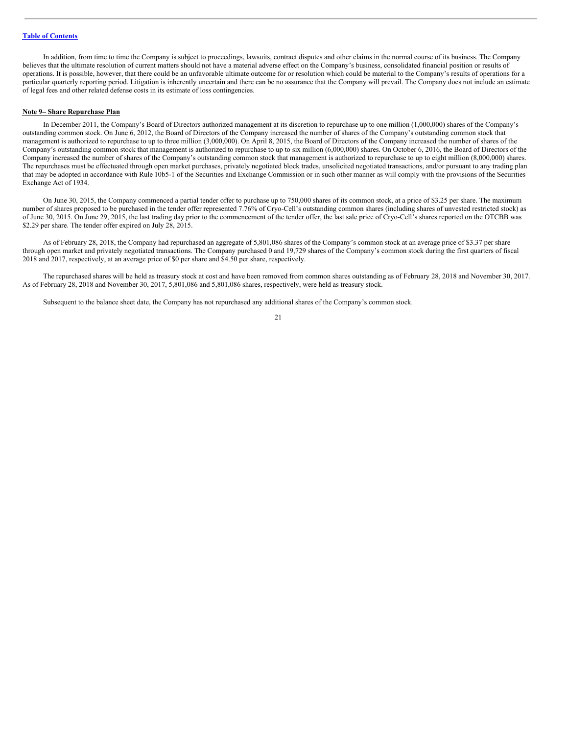In addition, from time to time the Company is subject to proceedings, lawsuits, contract disputes and other claims in the normal course of its business. The Company believes that the ultimate resolution of current matters should not have a material adverse effect on the Company's business, consolidated financial position or results of operations. It is possible, however, that there could be an unfavorable ultimate outcome for or resolution which could be material to the Company's results of operations for a particular quarterly reporting period. Litigation is inherently uncertain and there can be no assurance that the Company will prevail. The Company does not include an estimate of legal fees and other related defense costs in its estimate of loss contingencies.

#### **Note 9– Share Repurchase Plan**

In December 2011, the Company's Board of Directors authorized management at its discretion to repurchase up to one million (1,000,000) shares of the Company's outstanding common stock. On June 6, 2012, the Board of Directors of the Company increased the number of shares of the Company's outstanding common stock that management is authorized to repurchase to up to three million (3,000,000). On April 8, 2015, the Board of Directors of the Company increased the number of shares of the Company's outstanding common stock that management is authorized to repurchase to up to six million (6,000,000) shares. On October 6, 2016, the Board of Directors of the Company increased the number of shares of the Company's outstanding common stock that management is authorized to repurchase to up to eight million (8,000,000) shares. The repurchases must be effectuated through open market purchases, privately negotiated block trades, unsolicited negotiated transactions, and/or pursuant to any trading plan that may be adopted in accordance with Rule 10b5-1 of the Securities and Exchange Commission or in such other manner as will comply with the provisions of the Securities Exchange Act of 1934.

On June 30, 2015, the Company commenced a partial tender offer to purchase up to 750,000 shares of its common stock, at a price of \$3.25 per share. The maximum number of shares proposed to be purchased in the tender offer represented 7.76% of Cryo-Cell's outstanding common shares (including shares of unvested restricted stock) as of June 30, 2015. On June 29, 2015, the last trading day prior to the commencement of the tender offer, the last sale price of Cryo-Cell's shares reported on the OTCBB was \$2.29 per share. The tender offer expired on July 28, 2015.

As of February 28, 2018, the Company had repurchased an aggregate of 5,801,086 shares of the Company's common stock at an average price of \$3.37 per share through open market and privately negotiated transactions. The Company purchased 0 and 19,729 shares of the Company's common stock during the first quarters of fiscal 2018 and 2017, respectively, at an average price of \$0 per share and \$4.50 per share, respectively.

The repurchased shares will be held as treasury stock at cost and have been removed from common shares outstanding as of February 28, 2018 and November 30, 2017. As of February 28, 2018 and November 30, 2017, 5,801,086 and 5,801,086 shares, respectively, were held as treasury stock.

Subsequent to the balance sheet date, the Company has not repurchased any additional shares of the Company's common stock.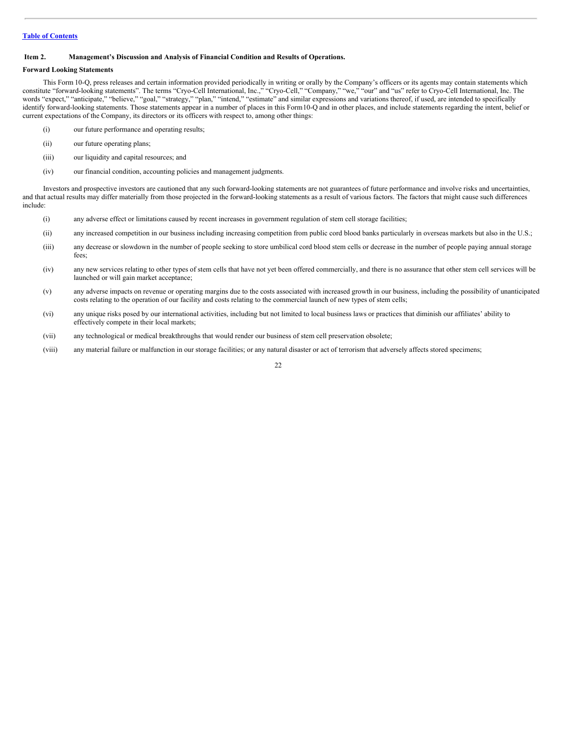#### <span id="page-21-0"></span>**Item 2. Management's Discussion and Analysis of Financial Condition and Results of Operations.**

#### **Forward Looking Statements**

This Form 10-Q, press releases and certain information provided periodically in writing or orally by the Company's officers or its agents may contain statements which constitute "forward-looking statements". The terms "Cryo-Cell International, Inc.," "Cryo-Cell," "Company," "we," "our" and "us" refer to Cryo-Cell International, Inc. The words "expect," "anticipate," "believe," "goal," "strategy," "plan," "intend," "estimate" and similar expressions and variations thereof, if used, are intended to specifically identify forward-looking statements. Those statements appear in a number of places in this Form10-Q and in other places, and include statements regarding the intent, belief or current expectations of the Company, its directors or its officers with respect to, among other things:

- (i) our future performance and operating results;
- (ii) our future operating plans;
- (iii) our liquidity and capital resources; and
- (iv) our financial condition, accounting policies and management judgments.

Investors and prospective investors are cautioned that any such forward-looking statements are not guarantees of future performance and involve risks and uncertainties, and that actual results may differ materially from those projected in the forward-looking statements as a result of various factors. The factors that might cause such differences include:

- (i) any adverse effect or limitations caused by recent increases in government regulation of stem cell storage facilities;
- (ii) any increased competition in our business including increasing competition from public cord blood banks particularly in overseas markets but also in the U.S.;
- (iii) any decrease or slowdown in the number of people seeking to store umbilical cord blood stem cells or decrease in the number of people paying annual storage fees;
- (iv) any new services relating to other types of stem cells that have not yet been offered commercially, and there is no assurance that other stem cell services will be launched or will gain market acceptance;
- (v) any adverse impacts on revenue or operating margins due to the costs associated with increased growth in our business, including the possibility of unanticipated costs relating to the operation of our facility and costs relating to the commercial launch of new types of stem cells;
- (vi) any unique risks posed by our international activities, including but not limited to local business laws or practices that diminish our affiliates' ability to effectively compete in their local markets;
- (vii) any technological or medical breakthroughs that would render our business of stem cell preservation obsolete;
- (viii) any material failure or malfunction in our storage facilities; or any natural disaster or act of terrorism that adversely affects stored specimens;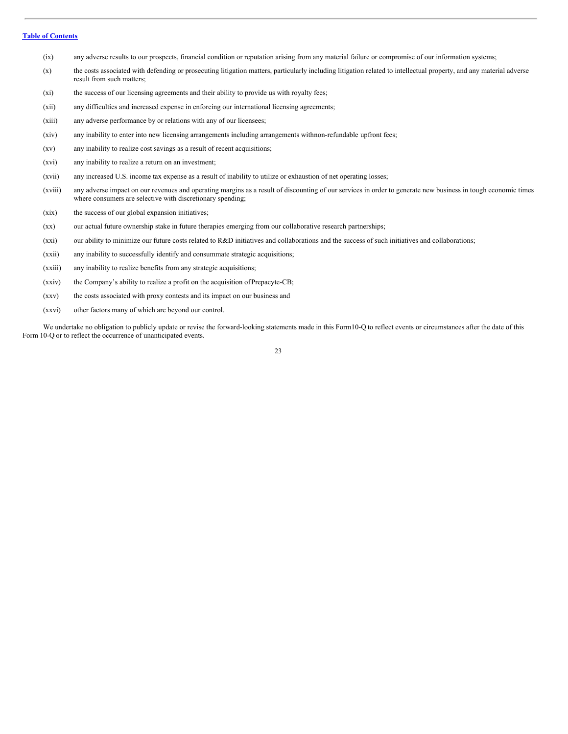- (ix) any adverse results to our prospects, financial condition or reputation arising from any material failure or compromise of our information systems;
- (x) the costs associated with defending or prosecuting litigation matters, particularly including litigation related to intellectual property, and any material adverse result from such matters;
- (xi) the success of our licensing agreements and their ability to provide us with royalty fees;
- (xii) any difficulties and increased expense in enforcing our international licensing agreements;
- (xiii) any adverse performance by or relations with any of our licensees;
- (xiv) any inability to enter into new licensing arrangements including arrangements withnon-refundable upfront fees;
- (xv) any inability to realize cost savings as a result of recent acquisitions;
- (xvi) any inability to realize a return on an investment;
- (xvii) any increased U.S. income tax expense as a result of inability to utilize or exhaustion of net operating losses;
- (xviii) any adverse impact on our revenues and operating margins as a result of discounting of our services in order to generate new business in tough economic times where consumers are selective with discretionary spending;
- (xix) the success of our global expansion initiatives;
- (xx) our actual future ownership stake in future therapies emerging from our collaborative research partnerships;
- (xxi) our ability to minimize our future costs related to R&D initiatives and collaborations and the success of such initiatives and collaborations;
- (xxii) any inability to successfully identify and consummate strategic acquisitions;
- (xxiii) any inability to realize benefits from any strategic acquisitions;
- (xxiv) the Company's ability to realize a profit on the acquisition ofPrepacyte-CB;
- (xxv) the costs associated with proxy contests and its impact on our business and
- (xxvi) other factors many of which are beyond our control.

We undertake no obligation to publicly update or revise the forward-looking statements made in this Form10-Q to reflect events or circumstances after the date of this Form 10-Q or to reflect the occurrence of unanticipated events.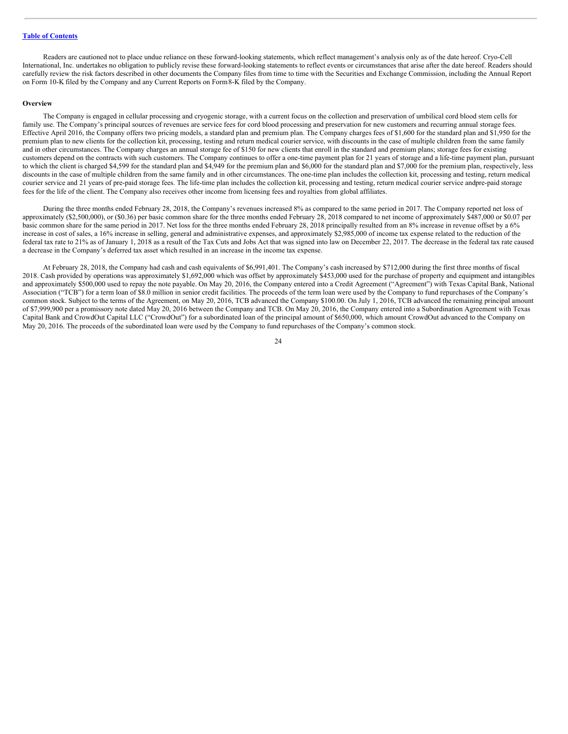Readers are cautioned not to place undue reliance on these forward-looking statements, which reflect management's analysis only as of the date hereof. Cryo-Cell International, Inc. undertakes no obligation to publicly revise these forward-looking statements to reflect events or circumstances that arise after the date hereof. Readers should carefully review the risk factors described in other documents the Company files from time to time with the Securities and Exchange Commission, including the Annual Report on Form 10-K filed by the Company and any Current Reports on Form8-K filed by the Company.

#### **Overview**

The Company is engaged in cellular processing and cryogenic storage, with a current focus on the collection and preservation of umbilical cord blood stem cells for family use. The Company's principal sources of revenues are service fees for cord blood processing and preservation for new customers and recurring annual storage fees. Effective April 2016, the Company offers two pricing models, a standard plan and premium plan. The Company charges fees of \$1,600 for the standard plan and \$1,950 for the premium plan to new clients for the collection kit, processing, testing and return medical courier service, with discounts in the case of multiple children from the same family and in other circumstances. The Company charges an annual storage fee of \$150 for new clients that enroll in the standard and premium plans; storage fees for existing customers depend on the contracts with such customers. The Company continues to offer a one-time payment plan for 21 years of storage and a life-time payment plan, pursuant to which the client is charged \$4,599 for the standard plan and \$4,949 for the premium plan and \$6,000 for the standard plan and \$7,000 for the premium plan, respectively, less discounts in the case of multiple children from the same family and in other circumstances. The one-time plan includes the collection kit, processing and testing, return medical courier service and 21 years of pre-paid storage fees. The life-time plan includes the collection kit, processing and testing, return medical courier service andpre-paid storage fees for the life of the client. The Company also receives other income from licensing fees and royalties from global affiliates.

During the three months ended February 28, 2018, the Company's revenues increased 8% as compared to the same period in 2017. The Company reported net loss of approximately (\$2,500,000), or (\$0.36) per basic common share for the three months ended February 28, 2018 compared to net income of approximately \$487,000 or \$0.07 per basic common share for the same period in 2017. Net loss for the three months ended February 28, 2018 principally resulted from an 8% increase in revenue offset by a 6% increase in cost of sales, a 16% increase in selling, general and administrative expenses, and approximately \$2,985,000 of income tax expense related to the reduction of the federal tax rate to 21% as of January 1, 2018 as a result of the Tax Cuts and Jobs Act that was signed into law on December 22, 2017. The decrease in the federal tax rate caused a decrease in the Company's deferred tax asset which resulted in an increase in the income tax expense.

At February 28, 2018, the Company had cash and cash equivalents of \$6,991,401. The Company's cash increased by \$712,000 during the first three months of fiscal 2018. Cash provided by operations was approximately \$1,692,000 which was offset by approximately \$453,000 used for the purchase of property and equipment and intangibles and approximately \$500,000 used to repay the note payable. On May 20, 2016, the Company entered into a Credit Agreement ("Agreement") with Texas Capital Bank, National Association ("TCB") for a term loan of \$8.0 million in senior credit facilities. The proceeds of the term loan were used by the Company to fund repurchases of the Company's common stock. Subject to the terms of the Agreement, on May 20, 2016, TCB advanced the Company \$100.00. On July 1, 2016, TCB advanced the remaining principal amount of \$7,999,900 per a promissory note dated May 20, 2016 between the Company and TCB. On May 20, 2016, the Company entered into a Subordination Agreement with Texas Capital Bank and CrowdOut Capital LLC ("CrowdOut") for a subordinated loan of the principal amount of \$650,000, which amount CrowdOut advanced to the Company on May 20, 2016. The proceeds of the subordinated loan were used by the Company to fund repurchases of the Company's common stock.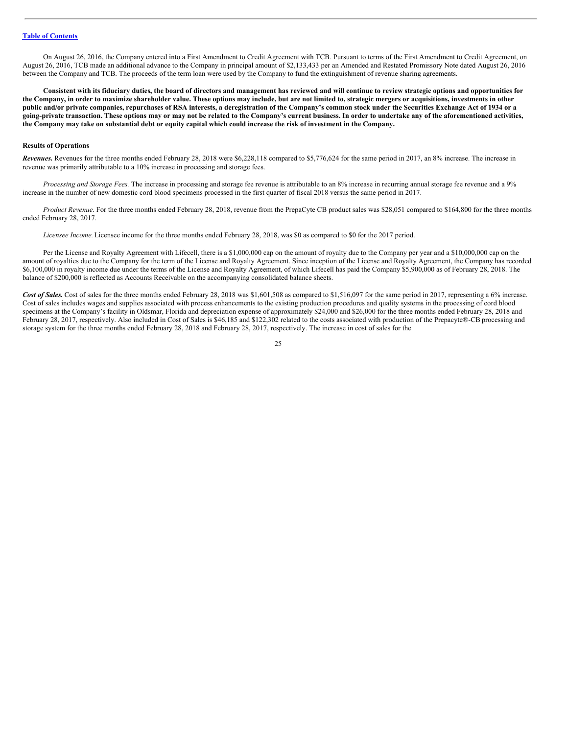On August 26, 2016, the Company entered into a First Amendment to Credit Agreement with TCB. Pursuant to terms of the First Amendment to Credit Agreement, on August 26, 2016, TCB made an additional advance to the Company in principal amount of \$2,133,433 per an Amended and Restated Promissory Note dated August 26, 2016 between the Company and TCB. The proceeds of the term loan were used by the Company to fund the extinguishment of revenue sharing agreements.

Consistent with its fiduciary duties, the board of directors and management has reviewed and will continue to review strategic options and opportunities for the Company, in order to maximize shareholder value. These options may include, but are not limited to, strategic mergers or acquisitions, investments in other public and/or private companies, repurchases of RSA interests, a deregistration of the Company's common stock under the Securities Exchange Act of 1934 or a going-private transaction. These options may or may not be related to the Company's current business. In order to undertake any of the aforementioned activities, the Company may take on substantial debt or equity capital which could increase the risk of investment in the Company.

#### **Results of Operations**

*Revenues.* Revenues for the three months ended February 28, 2018 were \$6,228,118 compared to \$5,776,624 for the same period in 2017, an 8% increase. The increase in revenue was primarily attributable to a 10% increase in processing and storage fees.

*Processing and Storage Fees.* The increase in processing and storage fee revenue is attributable to an 8% increase in recurring annual storage fee revenue and a 9% increase in the number of new domestic cord blood specimens processed in the first quarter of fiscal 2018 versus the same period in 2017.

*Product Revenue*. For the three months ended February 28, 2018, revenue from the PrepaCyte CB product sales was \$28,051 compared to \$164,800 for the three months ended February 28, 2017.

*Licensee Income.*Licensee income for the three months ended February 28, 2018, was \$0 as compared to \$0 for the 2017 period.

Per the License and Royalty Agreement with Lifecell, there is a \$1,000,000 cap on the amount of royalty due to the Company per year and a \$10,000,000 cap on the amount of royalties due to the Company for the term of the License and Royalty Agreement. Since inception of the License and Royalty Agreement, the Company has recorded \$6,100,000 in royalty income due under the terms of the License and Royalty Agreement, of which Lifecell has paid the Company \$5,900,000 as of February 28, 2018. The balance of \$200,000 is reflected as Accounts Receivable on the accompanying consolidated balance sheets.

Cost of Sales. Cost of sales for the three months ended February 28, 2018 was \$1,601,508 as compared to \$1,516,097 for the same period in 2017, representing a 6% increase. Cost of sales includes wages and supplies associated with process enhancements to the existing production procedures and quality systems in the processing of cord blood specimens at the Company's facility in Oldsmar, Florida and depreciation expense of approximately \$24,000 and \$26,000 for the three months ended February 28, 2018 and February 28, 2017, respectively. Also included in Cost of Sales is \$46,185 and \$122,302 related to the costs associated with production of the Prepacyte®-CB processing and storage system for the three months ended February 28, 2018 and February 28, 2017, respectively. The increase in cost of sales for the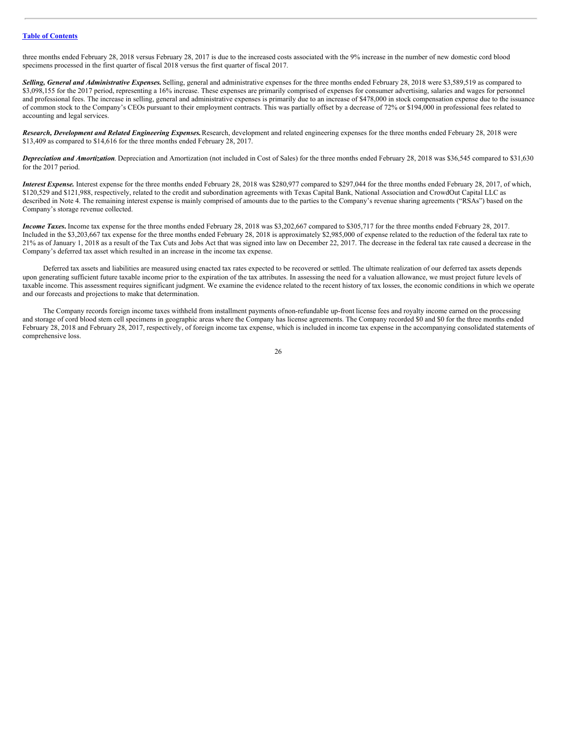three months ended February 28, 2018 versus February 28, 2017 is due to the increased costs associated with the 9% increase in the number of new domestic cord blood specimens processed in the first quarter of fiscal 2018 versus the first quarter of fiscal 2017.

*Selling, General and Administrative Expenses.* Selling, general and administrative expenses for the three months ended February 28, 2018 were \$3,589,519 as compared to \$3,098,155 for the 2017 period, representing a 16% increase. These expenses are primarily comprised of expenses for consumer advertising, salaries and wages for personnel and professional fees. The increase in selling, general and administrative expenses is primarily due to an increase of \$478,000 in stock compensation expense due to the issuance of common stock to the Company's CEOs pursuant to their employment contracts. This was partially offset by a decrease of 72% or \$194,000 in professional fees related to accounting and legal services.

*Research, Development and Related Engineering Expenses.*Research, development and related engineering expenses for the three months ended February 28, 2018 were \$13,409 as compared to \$14,616 for the three months ended February 28, 2017.

*Depreciation and Amortization*. Depreciation and Amortization (not included in Cost of Sales) for the three months ended February 28, 2018 was \$36,545 compared to \$31,630 for the 2017 period.

*Interest Expense.* Interest expense for the three months ended February 28, 2018 was \$280,977 compared to \$297,044 for the three months ended February 28, 2017, of which, \$120,529 and \$121,988, respectively, related to the credit and subordination agreements with Texas Capital Bank, National Association and CrowdOut Capital LLC as described in Note 4. The remaining interest expense is mainly comprised of amounts due to the parties to the Company's revenue sharing agreements ("RSAs") based on the Company's storage revenue collected.

*Income Taxes***.** Income tax expense for the three months ended February 28, 2018 was \$3,202,667 compared to \$305,717 for the three months ended February 28, 2017. Included in the \$3,203,667 tax expense for the three months ended February 28, 2018 is approximately \$2,985,000 of expense related to the reduction of the federal tax rate to 21% as of January 1, 2018 as a result of the Tax Cuts and Jobs Act that was signed into law on December 22, 2017. The decrease in the federal tax rate caused a decrease in the Company's deferred tax asset which resulted in an increase in the income tax expense.

Deferred tax assets and liabilities are measured using enacted tax rates expected to be recovered or settled. The ultimate realization of our deferred tax assets depends upon generating sufficient future taxable income prior to the expiration of the tax attributes. In assessing the need for a valuation allowance, we must project future levels of taxable income. This assessment requires significant judgment. We examine the evidence related to the recent history of tax losses, the economic conditions in which we operate and our forecasts and projections to make that determination.

The Company records foreign income taxes withheld from installment payments ofnon-refundable up-front license fees and royalty income earned on the processing and storage of cord blood stem cell specimens in geographic areas where the Company has license agreements. The Company recorded \$0 and \$0 for the three months ended February 28, 2018 and February 28, 2017, respectively, of foreign income tax expense, which is included in income tax expense in the accompanying consolidated statements of comprehensive loss.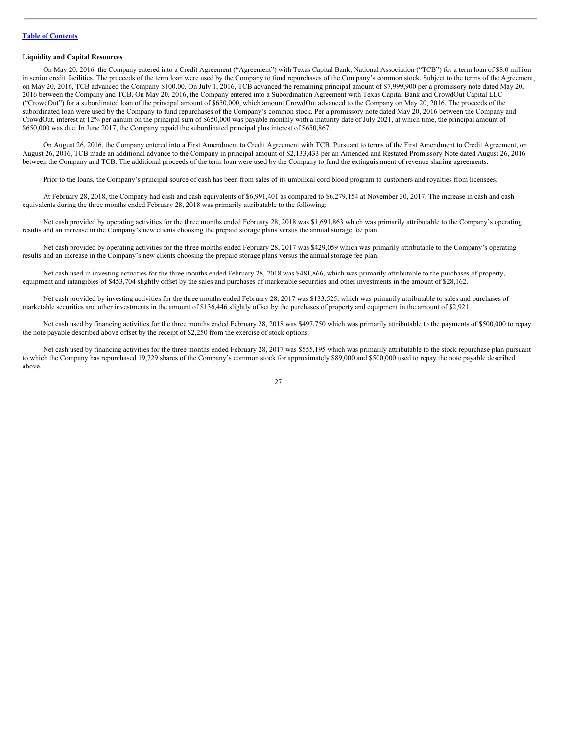#### **Liquidity and Capital Resources**

On May 20, 2016, the Company entered into a Credit Agreement ("Agreement") with Texas Capital Bank, National Association ("TCB") for a term loan of \$8.0 million in senior credit facilities. The proceeds of the term loan were used by the Company to fund repurchases of the Company's common stock. Subject to the terms of the Agreement, on May 20, 2016, TCB advanced the Company \$100.00. On July 1, 2016, TCB advanced the remaining principal amount of \$7,999,900 per a promissory note dated May 20, 2016 between the Company and TCB. On May 20, 2016, the Company entered into a Subordination Agreement with Texas Capital Bank and CrowdOut Capital LLC ("CrowdOut") for a subordinated loan of the principal amount of \$650,000, which amount CrowdOut advanced to the Company on May 20, 2016. The proceeds of the subordinated loan were used by the Company to fund repurchases of the Company's common stock. Per a promissory note dated May 20, 2016 between the Company and CrowdOut, interest at 12% per annum on the principal sum of \$650,000 was payable monthly with a maturity date of July 2021, at which time, the principal amount of \$650,000 was due. In June 2017, the Company repaid the subordinated principal plus interest of \$650,867.

On August 26, 2016, the Company entered into a First Amendment to Credit Agreement with TCB. Pursuant to terms of the First Amendment to Credit Agreement, on August 26, 2016, TCB made an additional advance to the Company in principal amount of \$2,133,433 per an Amended and Restated Promissory Note dated August 26, 2016 between the Company and TCB. The additional proceeds of the term loan were used by the Company to fund the extinguishment of revenue sharing agreements.

Prior to the loans, the Company's principal source of cash has been from sales of its umbilical cord blood program to customers and royalties from licensees.

At February 28, 2018, the Company had cash and cash equivalents of \$6,991,401 as compared to \$6,279,154 at November 30, 2017. The increase in cash and cash equivalents during the three months ended February 28, 2018 was primarily attributable to the following:

Net cash provided by operating activities for the three months ended February 28, 2018 was \$1,691,863 which was primarily attributable to the Company's operating results and an increase in the Company's new clients choosing the prepaid storage plans versus the annual storage fee plan.

Net cash provided by operating activities for the three months ended February 28, 2017 was \$429,059 which was primarily attributable to the Company's operating results and an increase in the Company's new clients choosing the prepaid storage plans versus the annual storage fee plan.

Net cash used in investing activities for the three months ended February 28, 2018 was \$481,866, which was primarily attributable to the purchases of property, equipment and intangibles of \$453,704 slightly offset by the sales and purchases of marketable securities and other investments in the amount of \$28,162.

Net cash provided by investing activities for the three months ended February 28, 2017 was \$133,525, which was primarily attributable to sales and purchases of marketable securities and other investments in the amount of \$136,446 slightly offset by the purchases of property and equipment in the amount of \$2,921.

Net cash used by financing activities for the three months ended February 28, 2018 was \$497,750 which was primarily attributable to the payments of \$500,000 to repay the note payable described above offset by the receipt of \$2,250 from the exercise of stock options.

Net cash used by financing activities for the three months ended February 28, 2017 was \$555,195 which was primarily attributable to the stock repurchase plan pursuant to which the Company has repurchased 19,729 shares of the Company's common stock for approximately \$89,000 and \$500,000 used to repay the note payable described above.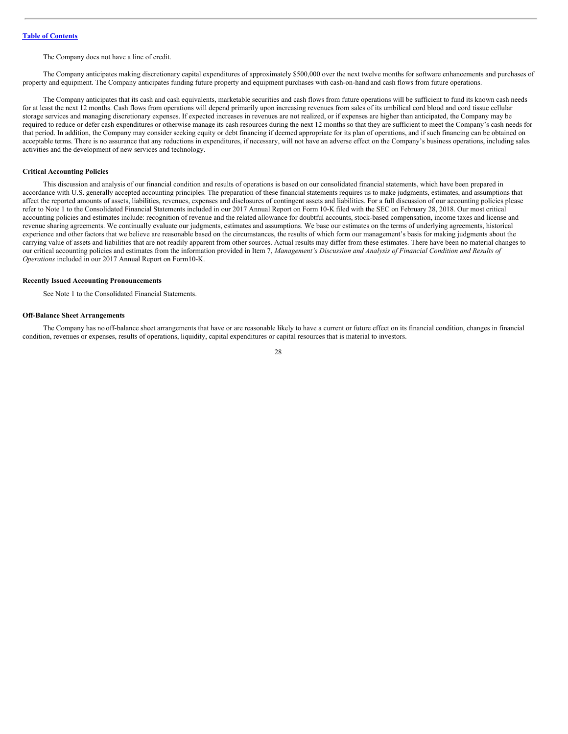The Company does not have a line of credit.

The Company anticipates making discretionary capital expenditures of approximately \$500,000 over the next twelve months for software enhancements and purchases of property and equipment. The Company anticipates funding future property and equipment purchases with cash-on-hand and cash flows from future operations.

The Company anticipates that its cash and cash equivalents, marketable securities and cash flows from future operations will be sufficient to fund its known cash needs for at least the next 12 months. Cash flows from operations will depend primarily upon increasing revenues from sales of its umbilical cord blood and cord tissue cellular storage services and managing discretionary expenses. If expected increases in revenues are not realized, or if expenses are higher than anticipated, the Company may be required to reduce or defer cash expenditures or otherwise manage its cash resources during the next 12 months so that they are sufficient to meet the Company's cash needs for that period. In addition, the Company may consider seeking equity or debt financing if deemed appropriate for its plan of operations, and if such financing can be obtained on acceptable terms. There is no assurance that any reductions in expenditures, if necessary, will not have an adverse effect on the Company's business operations, including sales activities and the development of new services and technology.

#### **Critical Accounting Policies**

This discussion and analysis of our financial condition and results of operations is based on our consolidated financial statements, which have been prepared in accordance with U.S. generally accepted accounting principles. The preparation of these financial statements requires us to make judgments, estimates, and assumptions that affect the reported amounts of assets, liabilities, revenues, expenses and disclosures of contingent assets and liabilities. For a full discussion of our accounting policies please refer to Note 1 to the Consolidated Financial Statements included in our 2017 Annual Report on Form 10-K filed with the SEC on February 28, 2018. Our most critical accounting policies and estimates include: recognition of revenue and the related allowance for doubtful accounts, stock-based compensation, income taxes and license and revenue sharing agreements. We continually evaluate our judgments, estimates and assumptions. We base our estimates on the terms of underlying agreements, historical experience and other factors that we believe are reasonable based on the circumstances, the results of which form our management's basis for making judgments about the carrying value of assets and liabilities that are not readily apparent from other sources. Actual results may differ from these estimates. There have been no material changes to our critical accounting policies and estimates from the information provided in Item 7, Management's Discussion and Analysis of Financial Condition and Results of *Operations* included in our 2017 Annual Report on Form10-K.

#### **Recently Issued Accounting Pronouncements**

See Note 1 to the Consolidated Financial Statements.

#### **Off-Balance Sheet Arrangements**

The Company has no off-balance sheet arrangements that have or are reasonable likely to have a current or future effect on its financial condition, changes in financial condition, revenues or expenses, results of operations, liquidity, capital expenditures or capital resources that is material to investors.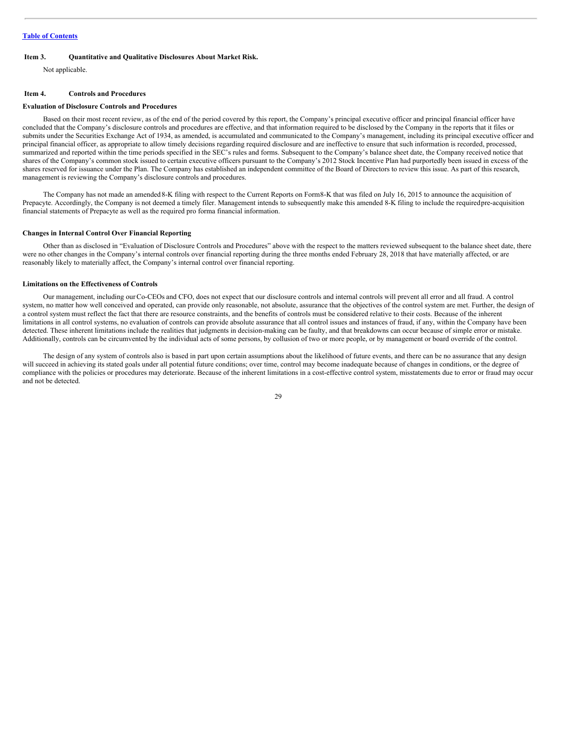#### <span id="page-28-0"></span>**Item 3. Quantitative and Qualitative Disclosures About Market Risk.**

Not applicable.

#### <span id="page-28-1"></span>**Item 4. Controls and Procedures**

#### **Evaluation of Disclosure Controls and Procedures**

Based on their most recent review, as of the end of the period covered by this report, the Company's principal executive officer and principal financial officer have concluded that the Company's disclosure controls and procedures are effective, and that information required to be disclosed by the Company in the reports that it files or submits under the Securities Exchange Act of 1934, as amended, is accumulated and communicated to the Company's management, including its principal executive officer and principal financial officer, as appropriate to allow timely decisions regarding required disclosure and are ineffective to ensure that such information is recorded, processed, summarized and reported within the time periods specified in the SEC's rules and forms. Subsequent to the Company's balance sheet date, the Company received notice that shares of the Company's common stock issued to certain executive officers pursuant to the Company's 2012 Stock Incentive Plan had purportedly been issued in excess of the shares reserved for issuance under the Plan. The Company has established an independent committee of the Board of Directors to review this issue. As part of this research, management is reviewing the Company's disclosure controls and procedures.

The Company has not made an amended8-K filing with respect to the Current Reports on Form8-K that was filed on July 16, 2015 to announce the acquisition of Prepacyte. Accordingly, the Company is not deemed a timely filer. Management intends to subsequently make this amended 8-K filing to include the requiredpre-acquisition financial statements of Prepacyte as well as the required pro forma financial information.

#### **Changes in Internal Control Over Financial Reporting**

Other than as disclosed in "Evaluation of Disclosure Controls and Procedures" above with the respect to the matters reviewed subsequent to the balance sheet date, there were no other changes in the Company's internal controls over financial reporting during the three months ended February 28, 2018 that have materially affected, or are reasonably likely to materially affect, the Company's internal control over financial reporting.

#### **Limitations on the Effectiveness of Controls**

Our management, including ourCo-CEOs and CFO, does not expect that our disclosure controls and internal controls will prevent all error and all fraud. A control system, no matter how well conceived and operated, can provide only reasonable, not absolute, assurance that the objectives of the control system are met. Further, the design of a control system must reflect the fact that there are resource constraints, and the benefits of controls must be considered relative to their costs. Because of the inherent limitations in all control systems, no evaluation of controls can provide absolute assurance that all control issues and instances of fraud, if any, within the Company have been detected. These inherent limitations include the realities that judgments in decision-making can be faulty, and that breakdowns can occur because of simple error or mistake. Additionally, controls can be circumvented by the individual acts of some persons, by collusion of two or more people, or by management or board override of the control.

The design of any system of controls also is based in part upon certain assumptions about the likelihood of future events, and there can be no assurance that any design will succeed in achieving its stated goals under all potential future conditions; over time, control may become inadequate because of changes in conditions, or the degree of compliance with the policies or procedures may deteriorate. Because of the inherent limitations in a cost-effective control system, misstatements due to error or fraud may occur and not be detected.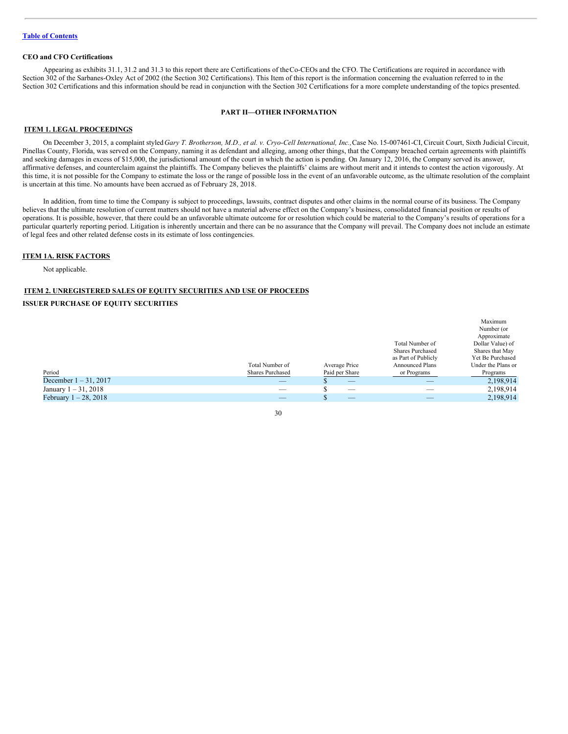#### **CEO and CFO Certifications**

Appearing as exhibits 31.1, 31.2 and 31.3 to this report there are Certifications of theCo-CEOs and the CFO. The Certifications are required in accordance with Section 302 of the Sarbanes-Oxley Act of 2002 (the Section 302 Certifications). This Item of this report is the information concerning the evaluation referred to in the Section 302 Certifications and this information should be read in conjunction with the Section 302 Certifications for a more complete understanding of the topics presented.

#### **PART II—OTHER INFORMATION**

#### <span id="page-29-0"></span>**ITEM 1. LEGAL PROCEEDINGS**

On December 3, 2015, a complaint styled Gary T. Brotherson, M.D., et al. v. Cryo-Cell International, Inc., Case No. 15-007461-CI, Circuit Court, Sixth Judicial Circuit, Pinellas County, Florida, was served on the Company, naming it as defendant and alleging, among other things, that the Company breached certain agreements with plaintiffs and seeking damages in excess of \$15,000, the jurisdictional amount of the court in which the action is pending. On January 12, 2016, the Company served its answer, affirmative defenses, and counterclaim against the plaintiffs. The Company believes the plaintiffs' claims are without merit and it intends to contest the action vigorously. At this time, it is not possible for the Company to estimate the loss or the range of possible loss in the event of an unfavorable outcome, as the ultimate resolution of the complaint is uncertain at this time. No amounts have been accrued as of February 28, 2018.

In addition, from time to time the Company is subject to proceedings, lawsuits, contract disputes and other claims in the normal course of its business. The Company believes that the ultimate resolution of current matters should not have a material adverse effect on the Company's business, consolidated financial position or results of operations. It is possible, however, that there could be an unfavorable ultimate outcome for or resolution which could be material to the Company's results of operations for a particular quarterly reporting period. Litigation is inherently uncertain and there can be no assurance that the Company will prevail. The Company does not include an estimate of legal fees and other related defense costs in its estimate of loss contingencies.

#### **ITEM 1A. RISK FACTORS**

Not applicable.

#### <span id="page-29-1"></span>**ITEM 2. UNREGISTERED SALES OF EQUITY SECURITIES AND USE OF PROCEEDS**

#### **ISSUER PURCHASE OF EQUITY SECURITIES**

|                          |                  |                |                         | Maximum<br>Number (or |
|--------------------------|------------------|----------------|-------------------------|-----------------------|
|                          |                  |                |                         |                       |
|                          |                  |                |                         | Approximate           |
|                          |                  |                | Total Number of         | Dollar Value) of      |
|                          |                  |                | <b>Shares Purchased</b> | Shares that May       |
|                          |                  |                | as Part of Publicly     | Yet Be Purchased      |
|                          | Total Number of  | Average Price  | <b>Announced Plans</b>  | Under the Plans or    |
| Period                   | Shares Purchased | Paid per Share | or Programs             | Programs              |
| December $1 - 31, 2017$  |                  |                |                         | 2,198,914             |
| January $1 - 31$ , 2018  | __               | $\sim$         |                         | 2,198,914             |
| February $1 - 28$ , 2018 |                  |                |                         | 2.198.914             |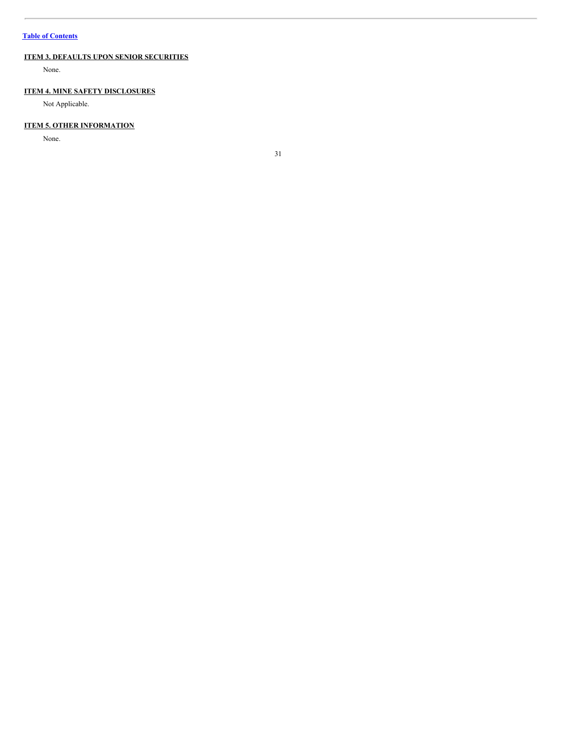# <span id="page-30-0"></span>**ITEM 3. DEFAULTS UPON SENIOR SECURITIES**

None.

# <span id="page-30-1"></span>**ITEM 4. MINE SAFETY DISCLOSURES**

Not Applicable.

# <span id="page-30-2"></span>**ITEM 5. OTHER INFORMATION**

None.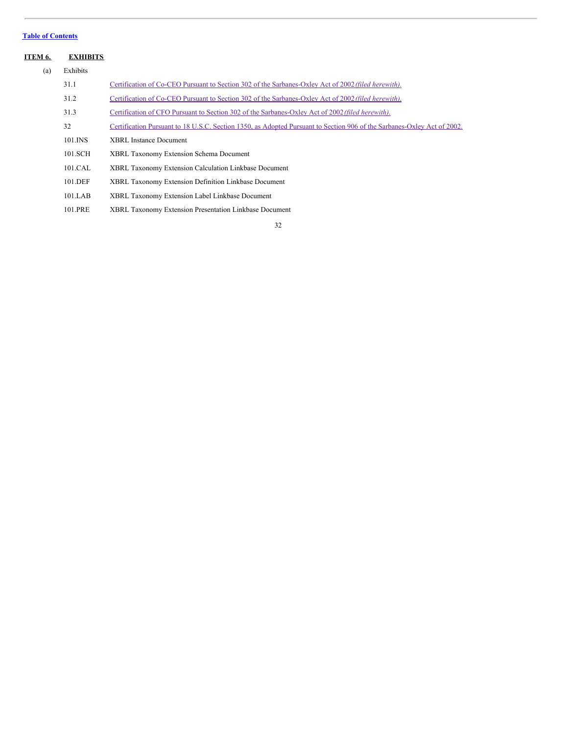<span id="page-31-0"></span>

| ITEM 6. | <b>EXHIBITS</b> |                                                                                                                         |
|---------|-----------------|-------------------------------------------------------------------------------------------------------------------------|
| (a)     | Exhibits        |                                                                                                                         |
|         | 31.1            | Certification of Co-CEO Pursuant to Section 302 of the Sarbanes-Oxley Act of 2002 (filed herewith).                     |
|         | 31.2            | Certification of Co-CEO Pursuant to Section 302 of the Sarbanes-Oxley Act of 2002 (filed herewith).                     |
|         | 31.3            | Certification of CFO Pursuant to Section 302 of the Sarbanes-Oxley Act of 2002 <i>(filed herewith)</i> .                |
|         | 32              | Certification Pursuant to 18 U.S.C. Section 1350, as Adopted Pursuant to Section 906 of the Sarbanes-Oxley Act of 2002. |
|         | 101.INS         | <b>XBRL Instance Document</b>                                                                                           |
|         | 101.SCH         | <b>XBRL Taxonomy Extension Schema Document</b>                                                                          |
|         | 101.CAL         | XBRL Taxonomy Extension Calculation Linkbase Document                                                                   |
|         | 101.DEF         | XBRL Taxonomy Extension Definition Linkbase Document                                                                    |
|         | 101.LAB         | XBRL Taxonomy Extension Label Linkbase Document                                                                         |
|         | 101.PRE         | XBRL Taxonomy Extension Presentation Linkbase Document                                                                  |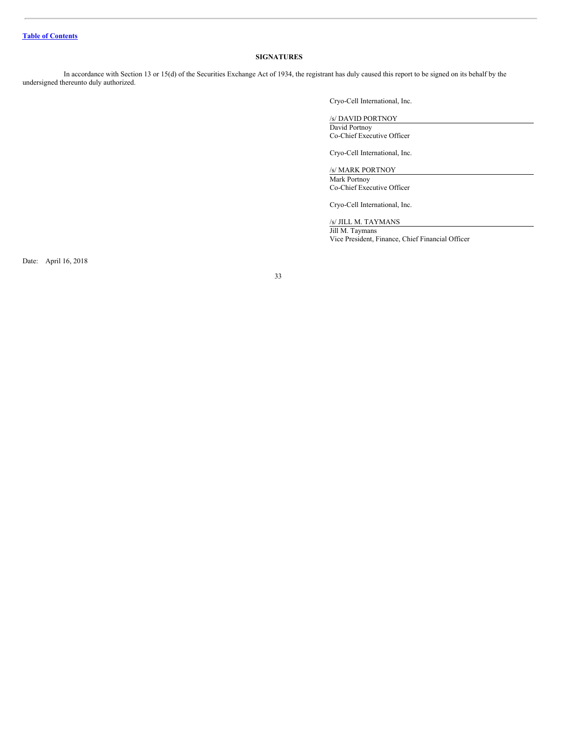#### <span id="page-32-0"></span>**SIGNATURES**

In accordance with Section 13 or 15(d) of the Securities Exchange Act of 1934, the registrant has duly caused this report to be signed on its behalf by the undersigned thereunto duly authorized.

Cryo-Cell International, Inc.

/s/ DAVID PORTNOY

David Portnoy Co-Chief Executive Officer

Cryo-Cell International, Inc.

/s/ MARK PORTNOY

Mark Portnoy Co-Chief Executive Officer

Cryo-Cell International, Inc.

/s/ JILL M. TAYMANS

Jill M. Taymans Vice President, Finance, Chief Financial Officer

Date: April 16, 2018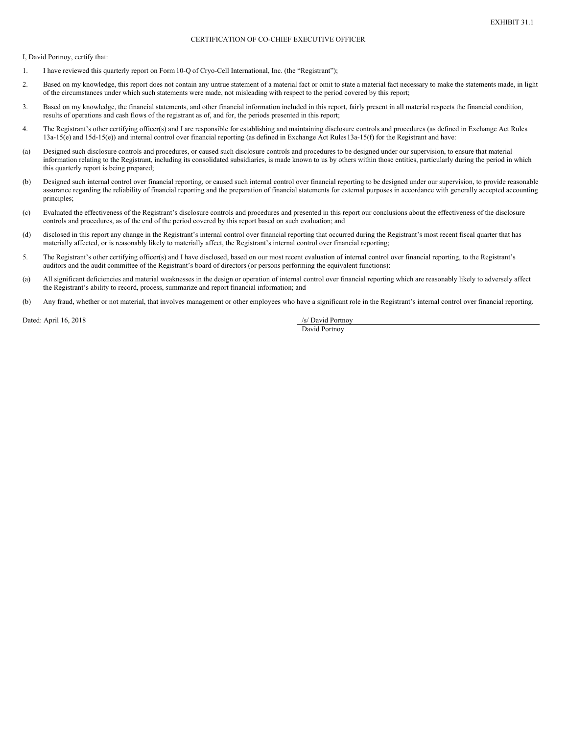#### CERTIFICATION OF CO-CHIEF EXECUTIVE OFFICER

<span id="page-33-0"></span>I, David Portnoy, certify that:

- 1. I have reviewed this quarterly report on Form10-Q of Cryo-Cell International, Inc. (the "Registrant");
- 2. Based on my knowledge, this report does not contain any untrue statement of a material fact or omit to state a material fact necessary to make the statements made, in light of the circumstances under which such statements were made, not misleading with respect to the period covered by this report;
- 3. Based on my knowledge, the financial statements, and other financial information included in this report, fairly present in all material respects the financial condition, results of operations and cash flows of the registrant as of, and for, the periods presented in this report;
- 4. The Registrant's other certifying officer(s) and I are responsible for establishing and maintaining disclosure controls and procedures (as defined in Exchange Act Rules 13a-15(e) and 15d-15(e)) and internal control over financial reporting (as defined in Exchange Act Rules13a-15(f) for the Registrant and have:
- (a) Designed such disclosure controls and procedures, or caused such disclosure controls and procedures to be designed under our supervision, to ensure that material information relating to the Registrant, including its consolidated subsidiaries, is made known to us by others within those entities, particularly during the period in which this quarterly report is being prepared;
- (b) Designed such internal control over financial reporting, or caused such internal control over financial reporting to be designed under our supervision, to provide reasonable assurance regarding the reliability of financial reporting and the preparation of financial statements for external purposes in accordance with generally accepted accounting principles;
- (c) Evaluated the effectiveness of the Registrant's disclosure controls and procedures and presented in this report our conclusions about the effectiveness of the disclosure controls and procedures, as of the end of the period covered by this report based on such evaluation; and
- (d) disclosed in this report any change in the Registrant's internal control over financial reporting that occurred during the Registrant's most recent fiscal quarter that has materially affected, or is reasonably likely to materially affect, the Registrant's internal control over financial reporting;
- 5. The Registrant's other certifying officer(s) and I have disclosed, based on our most recent evaluation of internal control over financial reporting, to the Registrant's auditors and the audit committee of the Registrant's board of directors (or persons performing the equivalent functions):
- (a) All significant deficiencies and material weaknesses in the design or operation of internal control over financial reporting which are reasonably likely to adversely affect the Registrant's ability to record, process, summarize and report financial information; and
- (b) Any fraud, whether or not material, that involves management or other employees who have a significant role in the Registrant's internal control over financial reporting.

Dated: April 16, 2018 /s/ David Portnoy

David Portnoy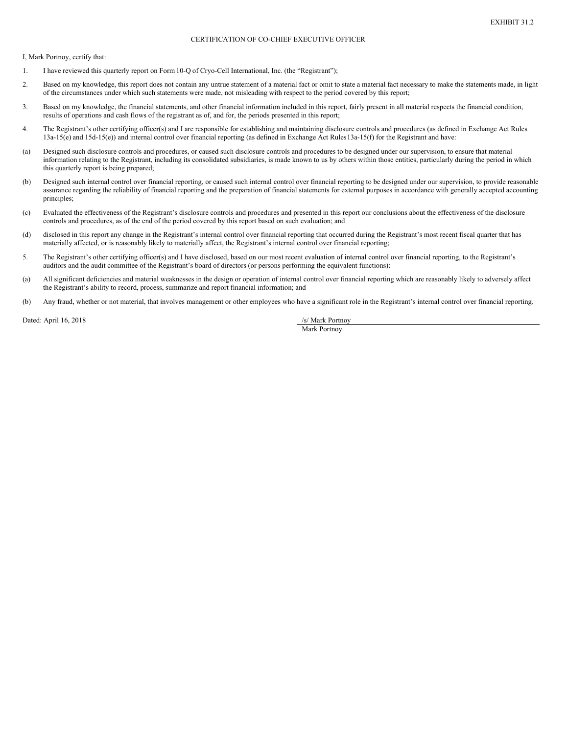#### CERTIFICATION OF CO-CHIEF EXECUTIVE OFFICER

<span id="page-34-0"></span>I, Mark Portnoy, certify that:

- 1. I have reviewed this quarterly report on Form10-Q of Cryo-Cell International, Inc. (the "Registrant");
- 2. Based on my knowledge, this report does not contain any untrue statement of a material fact or omit to state a material fact necessary to make the statements made, in light of the circumstances under which such statements were made, not misleading with respect to the period covered by this report;
- 3. Based on my knowledge, the financial statements, and other financial information included in this report, fairly present in all material respects the financial condition, results of operations and cash flows of the registrant as of, and for, the periods presented in this report;
- 4. The Registrant's other certifying officer(s) and I are responsible for establishing and maintaining disclosure controls and procedures (as defined in Exchange Act Rules 13a-15(e) and 15d-15(e)) and internal control over financial reporting (as defined in Exchange Act Rules13a-15(f) for the Registrant and have:
- (a) Designed such disclosure controls and procedures, or caused such disclosure controls and procedures to be designed under our supervision, to ensure that material information relating to the Registrant, including its consolidated subsidiaries, is made known to us by others within those entities, particularly during the period in which this quarterly report is being prepared;
- (b) Designed such internal control over financial reporting, or caused such internal control over financial reporting to be designed under our supervision, to provide reasonable assurance regarding the reliability of financial reporting and the preparation of financial statements for external purposes in accordance with generally accepted accounting principles;
- (c) Evaluated the effectiveness of the Registrant's disclosure controls and procedures and presented in this report our conclusions about the effectiveness of the disclosure controls and procedures, as of the end of the period covered by this report based on such evaluation; and
- (d) disclosed in this report any change in the Registrant's internal control over financial reporting that occurred during the Registrant's most recent fiscal quarter that has materially affected, or is reasonably likely to materially affect, the Registrant's internal control over financial reporting;
- 5. The Registrant's other certifying officer(s) and I have disclosed, based on our most recent evaluation of internal control over financial reporting, to the Registrant's auditors and the audit committee of the Registrant's board of directors (or persons performing the equivalent functions):
- (a) All significant deficiencies and material weaknesses in the design or operation of internal control over financial reporting which are reasonably likely to adversely affect the Registrant's ability to record, process, summarize and report financial information; and
- (b) Any fraud, whether or not material, that involves management or other employees who have a significant role in the Registrant's internal control over financial reporting.

Dated: April 16, 2018 /s/ Mark Portnoy

Mark Portnoy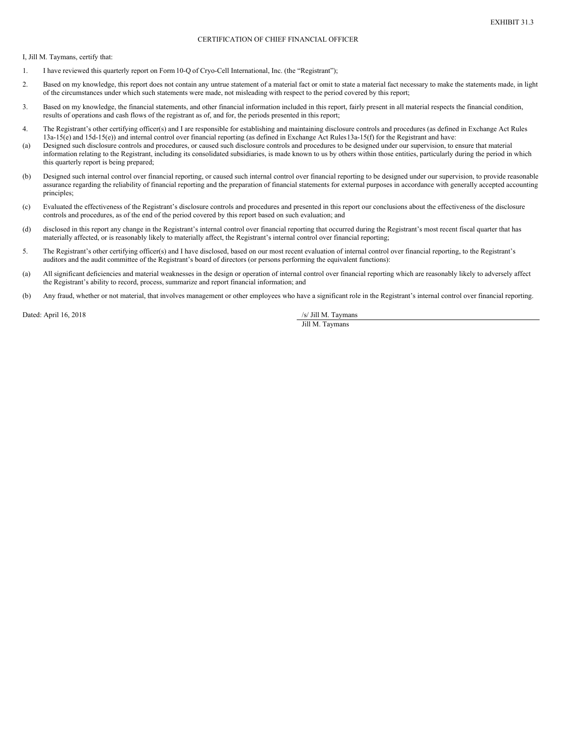#### CERTIFICATION OF CHIEF FINANCIAL OFFICER

<span id="page-35-0"></span>I, Jill M. Taymans, certify that:

- 1. I have reviewed this quarterly report on Form10-Q of Cryo-Cell International, Inc. (the "Registrant");
- 2. Based on my knowledge, this report does not contain any untrue statement of a material fact or omit to state a material fact necessary to make the statements made, in light of the circumstances under which such statements were made, not misleading with respect to the period covered by this report;
- 3. Based on my knowledge, the financial statements, and other financial information included in this report, fairly present in all material respects the financial condition, results of operations and cash flows of the registrant as of, and for, the periods presented in this report;
- 4. The Registrant's other certifying officer(s) and I are responsible for establishing and maintaining disclosure controls and procedures (as defined in Exchange Act Rules 13a-15(e) and 15d-15(e)) and internal control over financial reporting (as defined in Exchange Act Rules13a-15(f) for the Registrant and have:
- (a) Designed such disclosure controls and procedures, or caused such disclosure controls and procedures to be designed under our supervision, to ensure that material information relating to the Registrant, including its consolidated subsidiaries, is made known to us by others within those entities, particularly during the period in which this quarterly report is being prepared;
- (b) Designed such internal control over financial reporting, or caused such internal control over financial reporting to be designed under our supervision, to provide reasonable assurance regarding the reliability of financial reporting and the preparation of financial statements for external purposes in accordance with generally accepted accounting principles;
- (c) Evaluated the effectiveness of the Registrant's disclosure controls and procedures and presented in this report our conclusions about the effectiveness of the disclosure controls and procedures, as of the end of the period covered by this report based on such evaluation; and
- (d) disclosed in this report any change in the Registrant's internal control over financial reporting that occurred during the Registrant's most recent fiscal quarter that has materially affected, or is reasonably likely to materially affect, the Registrant's internal control over financial reporting;
- 5. The Registrant's other certifying officer(s) and I have disclosed, based on our most recent evaluation of internal control over financial reporting, to the Registrant's auditors and the audit committee of the Registrant's board of directors (or persons performing the equivalent functions):
- (a) All significant deficiencies and material weaknesses in the design or operation of internal control over financial reporting which are reasonably likely to adversely affect the Registrant's ability to record, process, summarize and report financial information; and
- (b) Any fraud, whether or not material, that involves management or other employees who have a significant role in the Registrant's internal control over financial reporting.

Dated: April 16, 2018 /s/ Jill M. Taymans

Jill M. Taymans